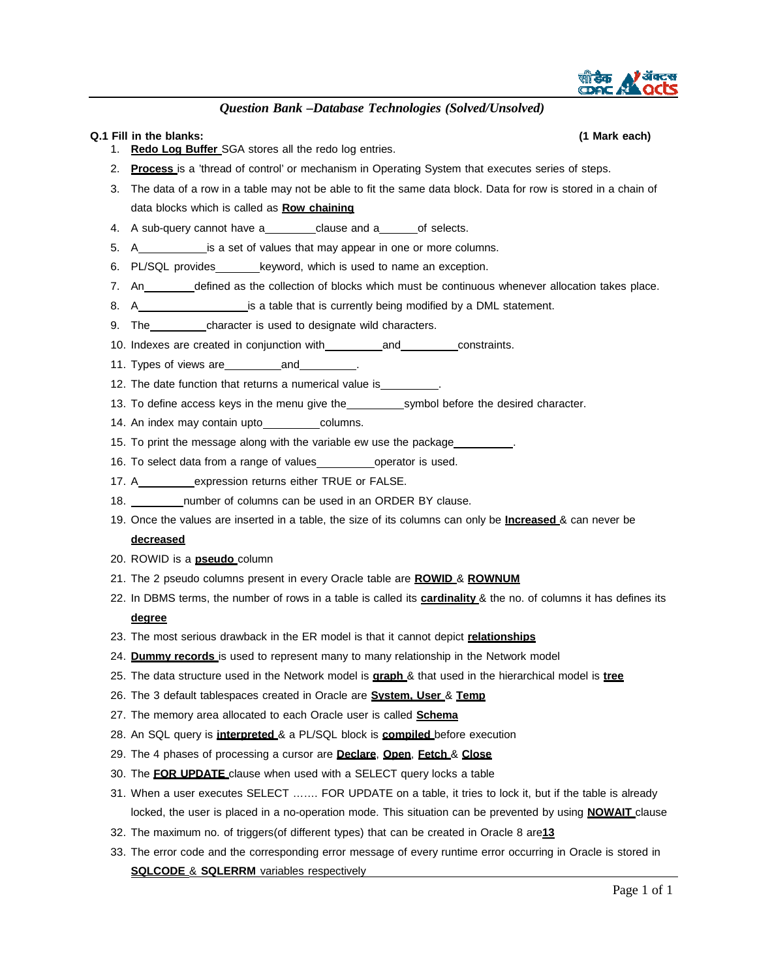

#### **Q.1 Fill in the blanks: (1 Mark each)**

#### 1. **Redo Log Buffer** SGA stores all the redo log entries.

- 2. **Process** is a 'thread of control' or mechanism in Operating System that executes series of steps.
- 3. The data of a row in a table may not be able to fit the same data block. Data for row is stored in a chain of data blocks which is called as **Row chaining**
- 4. A sub-query cannot have a clause and a of selects.
- 5. A is a set of values that may appear in one or more columns.
- 6. PL/SQL provides keyword, which is used to name an exception.
- 7. An \_\_\_\_\_\_\_ defined as the collection of blocks which must be continuous whenever allocation takes place.
- 8. A **incredit is a table that is currently being modified by a DML statement.**
- 9. The character is used to designate wild characters.
- 10. Indexes are created in conjunction with and constraints.
- 11. Types of views are **and**
- 12. The date function that returns a numerical value is
- 13. To define access keys in the menu give the symbol before the desired character.
- 14. An index may contain upto columns.
- 15. To print the message along with the variable ew use the package
- 16. To select data from a range of values \_\_\_\_\_\_\_\_\_\_\_ operator is used.
- 17. A expression returns either TRUE or FALSE.
- 18. number of columns can be used in an ORDER BY clause.
- 19. Once the values are inserted in a table, the size of its columns can only be **Increased** & can never be **decreased**
- 20. ROWID is a **pseudo** column
- 21. The 2 pseudo columns present in every Oracle table are **ROWID** & **ROWNUM**
- 22. In DBMS terms, the number of rows in a table is called its **cardinality** & the no. of columns it has defines its **degree**
- 23. The most serious drawback in the ER model is that it cannot depict **relationships**
- 24. **Dummy records** is used to represent many to many relationship in the Network model
- 25. The data structure used in the Network model is **graph** & that used in the hierarchical model is **tree**
- 26. The 3 default tablespaces created in Oracle are **System, User** & **Temp**
- 27. The memory area allocated to each Oracle user is called **Schema**
- 28. An SQL query is **interpreted** & a PL/SQL block is **compiled** before execution
- 29. The 4 phases of processing a cursor are **Declare**, **Open**, **Fetch** & **Close**
- 30. The **FOR UPDATE** clause when used with a SELECT query locks a table
- 31. When a user executes SELECT ……. FOR UPDATE on a table, it tries to lock it, but if the table is already locked, the user is placed in a no-operation mode. This situation can be prevented by using **NOWAIT** clause
- 32. The maximum no. of triggers(of different types) that can be created in Oracle 8 are**13**
- 33. The error code and the corresponding error message of every runtime error occurring in Oracle is stored in **SQLCODE** & **SQLERRM** variables respectively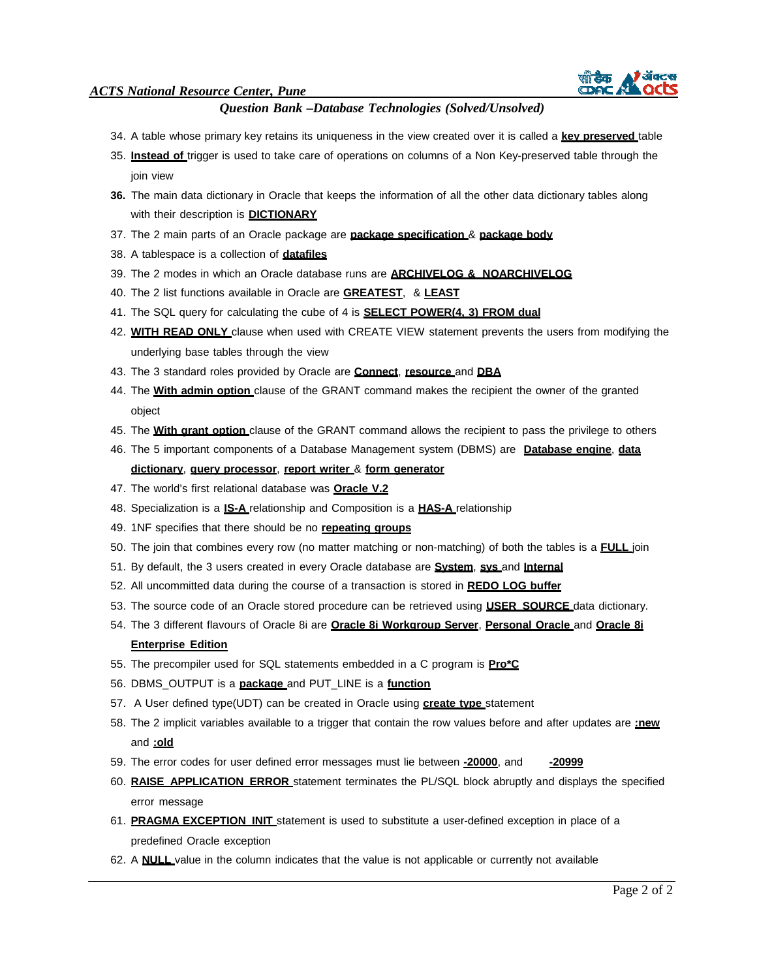

- 34. A table whose primary key retains its uniqueness in the view created over it is called a **key preserved** table
- 35. **Instead of** trigger is used to take care of operations on columns of a Non Key-preserved table through the join view
- **36.** The main data dictionary in Oracle that keeps the information of all the other data dictionary tables along with their description is **DICTIONARY**
- 37. The 2 main parts of an Oracle package are **package specification** & **package body**
- 38. A tablespace is a collection of **datafiles**
- 39. The 2 modes in which an Oracle database runs are **ARCHIVELOG & NOARCHIVELOG**
- 40. The 2 list functions available in Oracle are **GREATEST**, & **LEAST**
- 41. The SQL query for calculating the cube of 4 is **SELECT POWER(4, 3) FROM dual**
- 42. **WITH READ ONLY** clause when used with CREATE VIEW statement prevents the users from modifying the underlying base tables through the view
- 43. The 3 standard roles provided by Oracle are **Connect**, **resource** and **DBA**
- 44. The **With admin option** clause of the GRANT command makes the recipient the owner of the granted object
- 45. The **With grant option** clause of the GRANT command allows the recipient to pass the privilege to others
- 46. The 5 important components of a Database Management system (DBMS) are **Database engine**, **data dictionary**, **query processor**, **report writer** & **form generator**
- 47. The world's first relational database was **Oracle V.2**
- 48. Specialization is a **IS-A** relationship and Composition is a **HAS-A** relationship
- 49. 1NF specifies that there should be no **repeating groups**
- 50. The join that combines every row (no matter matching or non-matching) of both the tables is a **FULL** join
- 51. By default, the 3 users created in every Oracle database are **System**, **sys** and **Internal**
- 52. All uncommitted data during the course of a transaction is stored in **REDO LOG buffer**
- 53. The source code of an Oracle stored procedure can be retrieved using **USER\_SOURCE** data dictionary.
- 54. The 3 different flavours of Oracle 8i are **Oracle 8i Workgroup Server**, **Personal Oracle** and **Oracle 8i Enterprise Edition**
- 55. The precompiler used for SQL statements embedded in a C program is **Pro\*C**
- 56. DBMS\_OUTPUT is a **package** and PUT\_LINE is a **function**
- 57. A User defined type(UDT) can be created in Oracle using **create type** statement
- 58. The 2 implicit variables available to a trigger that contain the row values before and after updates are **:new** and **:old**
- 59. The error codes for user defined error messages must lie between **-20000**, and **-20999**
- 60. **RAISE\_APPLICATION\_ERROR** statement terminates the PL/SQL block abruptly and displays the specified error message
- 61. **PRAGMA EXCEPTION\_INIT** statement is used to substitute a user-defined exception in place of a predefined Oracle exception
- 62. A **NULL** value in the column indicates that the value is not applicable or currently not available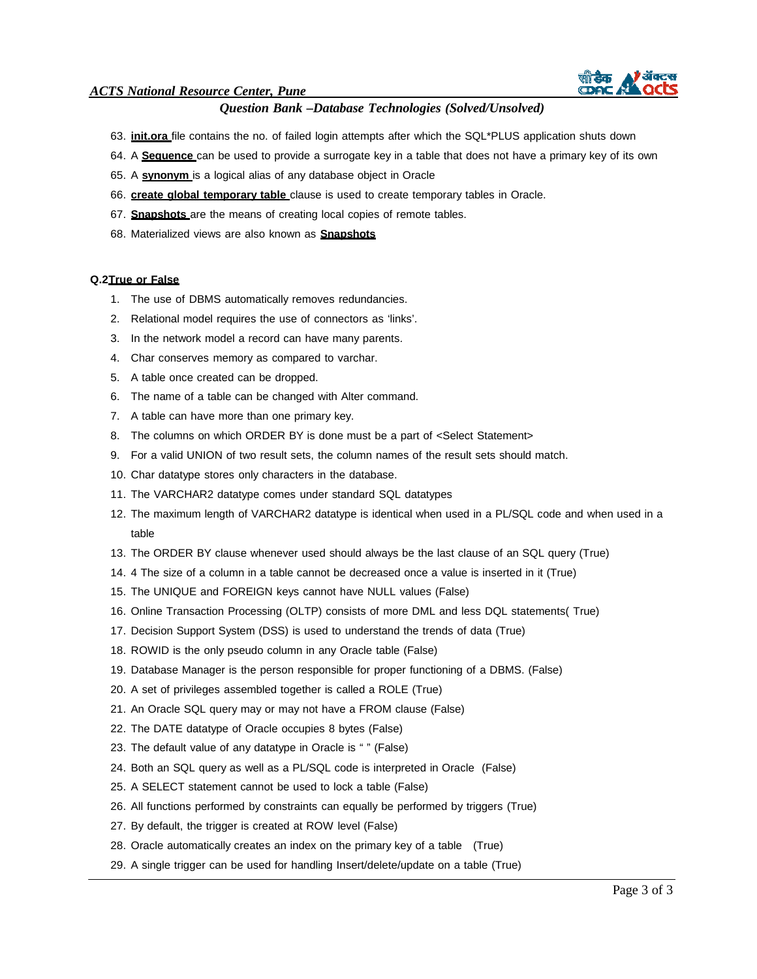

# *Question Bank –Database Technologies (Solved/Unsolved)*

- 63. **init.ora** file contains the no. of failed login attempts after which the SQL\*PLUS application shuts down
- 64. A **Sequence** can be used to provide a surrogate key in a table that does not have a primary key of its own
- 65. A **synonym** is a logical alias of any database object in Oracle
- 66. **create global temporary table** clause is used to create temporary tables in Oracle.
- 67. **Snapshots** are the means of creating local copies of remote tables.
- 68. Materialized views are also known as **Snapshots**

#### **Q.2 True or False**

- 1. The use of DBMS automatically removes redundancies.
- 2. Relational model requires the use of connectors as 'links'.
- 3. In the network model a record can have many parents.
- 4. Char conserves memory as compared to varchar.
- 5. A table once created can be dropped.
- 6. The name of a table can be changed with Alter command.
- 7. A table can have more than one primary key.
- 8. The columns on which ORDER BY is done must be a part of <Select Statement>
- 9. For a valid UNION of two result sets, the column names of the result sets should match.
- 10. Char datatype stores only characters in the database.
- 11. The VARCHAR2 datatype comes under standard SQL datatypes
- 12. The maximum length of VARCHAR2 datatype is identical when used in a PL/SQL code and when used in a table
- 13. The ORDER BY clause whenever used should always be the last clause of an SQL query (True)
- 14. 4 The size of a column in a table cannot be decreased once a value is inserted in it (True)
- 15. The UNIQUE and FOREIGN keys cannot have NULL values (False)
- 16. Online Transaction Processing (OLTP) consists of more DML and less DQL statements( True)
- 17. Decision Support System (DSS) is used to understand the trends of data (True)
- 18. ROWID is the only pseudo column in any Oracle table (False)
- 19. Database Manager is the person responsible for proper functioning of a DBMS. (False)
- 20. A set of privileges assembled together is called a ROLE (True)
- 21. An Oracle SQL query may or may not have a FROM clause (False)
- 22. The DATE datatype of Oracle occupies 8 bytes (False)
- 23. The default value of any datatype in Oracle is " " (False)
- 24. Both an SQL query as well as a PL/SQL code is interpreted in Oracle (False)
- 25. A SELECT statement cannot be used to lock a table (False)
- 26. All functions performed by constraints can equally be performed by triggers (True)
- 27. By default, the trigger is created at ROW level (False)
- 28. Oracle automatically creates an index on the primary key of a table (True)
- 29. A single trigger can be used for handling Insert/delete/update on a table (True)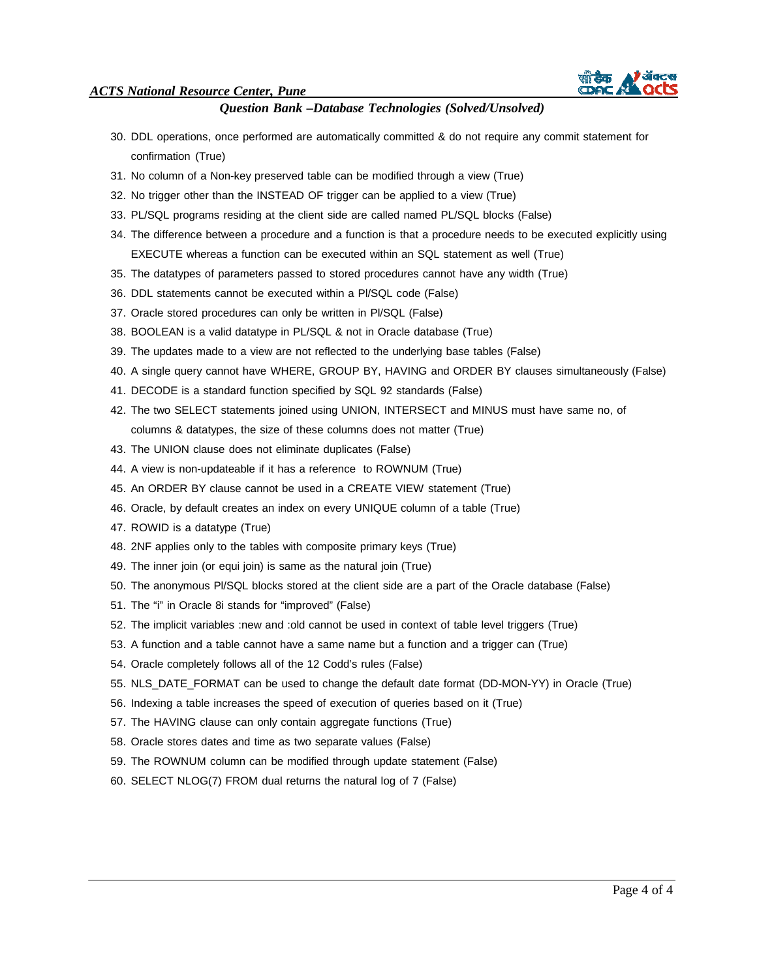

- 30. DDL operations, once performed are automatically committed & do not require any commit statement for confirmation (True)
- 31. No column of a Non-key preserved table can be modified through a view (True)
- 32. No trigger other than the INSTEAD OF trigger can be applied to a view (True)
- 33. PL/SQL programs residing at the client side are called named PL/SQL blocks (False)
- 34. The difference between a procedure and a function is that a procedure needs to be executed explicitly using EXECUTE whereas a function can be executed within an SQL statement as well (True)
- 35. The datatypes of parameters passed to stored procedures cannot have any width (True)
- 36. DDL statements cannot be executed within a Pl/SQL code (False)
- 37. Oracle stored procedures can only be written in Pl/SQL (False)
- 38. BOOLEAN is a valid datatype in PL/SQL & not in Oracle database (True)
- 39. The updates made to a view are not reflected to the underlying base tables (False)
- 40. A single query cannot have WHERE, GROUP BY, HAVING and ORDER BY clauses simultaneously (False)
- 41. DECODE is a standard function specified by SQL 92 standards (False)
- 42. The two SELECT statements joined using UNION, INTERSECT and MINUS must have same no, of columns & datatypes, the size of these columns does not matter (True)
- 43. The UNION clause does not eliminate duplicates (False)
- 44. A view is non-updateable if it has a reference to ROWNUM (True)
- 45. An ORDER BY clause cannot be used in a CREATE VIEW statement (True)
- 46. Oracle, by default creates an index on every UNIQUE column of a table (True)
- 47. ROWID is a datatype (True)
- 48. 2NF applies only to the tables with composite primary keys (True)
- 49. The inner join (or equi join) is same as the natural join (True)
- 50. The anonymous Pl/SQL blocks stored at the client side are a part of the Oracle database (False)
- 51. The "i" in Oracle 8i stands for "improved" (False)
- 52. The implicit variables :new and :old cannot be used in context of table level triggers (True)
- 53. A function and a table cannot have a same name but a function and a trigger can (True)
- 54. Oracle completely follows all of the 12 Codd's rules (False)
- 55. NLS\_DATE\_FORMAT can be used to change the default date format (DD-MON-YY) in Oracle (True)
- 56. Indexing a table increases the speed of execution of queries based on it (True)
- 57. The HAVING clause can only contain aggregate functions (True)
- 58. Oracle stores dates and time as two separate values (False)
- 59. The ROWNUM column can be modified through update statement (False)
- 60. SELECT NLOG(7) FROM dual returns the natural log of 7 (False)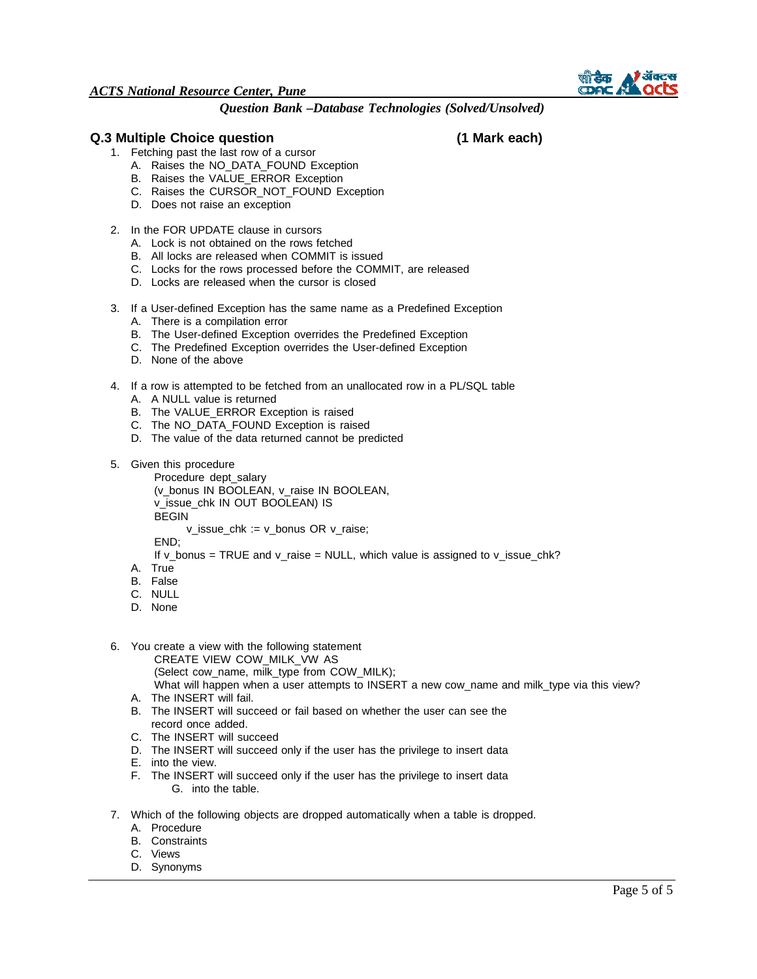

## **Q.3 Multiple Choice question (1 Mark each)**

- 1. Fetching past the last row of a cursor
	- A. Raises the NO\_DATA\_FOUND Exception
	- B. Raises the VALUE\_ERROR Exception
	- C. Raises the CURSOR\_NOT\_FOUND Exception
	- D. Does not raise an exception
- 2. In the FOR UPDATE clause in cursors
	- A. Lock is not obtained on the rows fetched
	- B. All locks are released when COMMIT is issued
	- C. Locks for the rows processed before the COMMIT, are released
	- D. Locks are released when the cursor is closed
- 3. If a User-defined Exception has the same name as a Predefined Exception
	- A. There is a compilation error
	- B. The User-defined Exception overrides the Predefined Exception
	- C. The Predefined Exception overrides the User-defined Exception
	- D. None of the above
- 4. If a row is attempted to be fetched from an unallocated row in a PL/SQL table
	- A. A NULL value is returned
	- B. The VALUE\_ERROR Exception is raised
	- C. The NO\_DATA\_FOUND Exception is raised
	- D. The value of the data returned cannot be predicted
- 5. Given this procedure

Procedure dept\_salary (v\_bonus IN BOOLEAN, v\_raise IN BOOLEAN, v\_issue\_chk IN OUT BOOLEAN) IS BEGIN v\_issue\_chk := v\_bonus OR v\_raise;

END;

- If v\_bonus = TRUE and v\_raise = NULL, which value is assigned to v\_issue\_chk?
- A. True
- B. False
- C. NULL
- D. None
- 6. You create a view with the following statement
	- CREATE VIEW COW\_MILK\_VW AS
	- (Select cow\_name, milk\_type from COW\_MILK);
	- What will happen when a user attempts to INSERT a new cow name and milk type via this view?
	- A. The INSERT will fail.
	- B. The INSERT will succeed or fail based on whether the user can see the record once added.
	- C. The INSERT will succeed
	- D. The INSERT will succeed only if the user has the privilege to insert data
	- E. into the view.
	- F. The INSERT will succeed only if the user has the privilege to insert data G. into the table.
- 7. Which of the following objects are dropped automatically when a table is dropped.
	- A. Procedure
	- B. Constraints
	- C. Views
	- D. Synonyms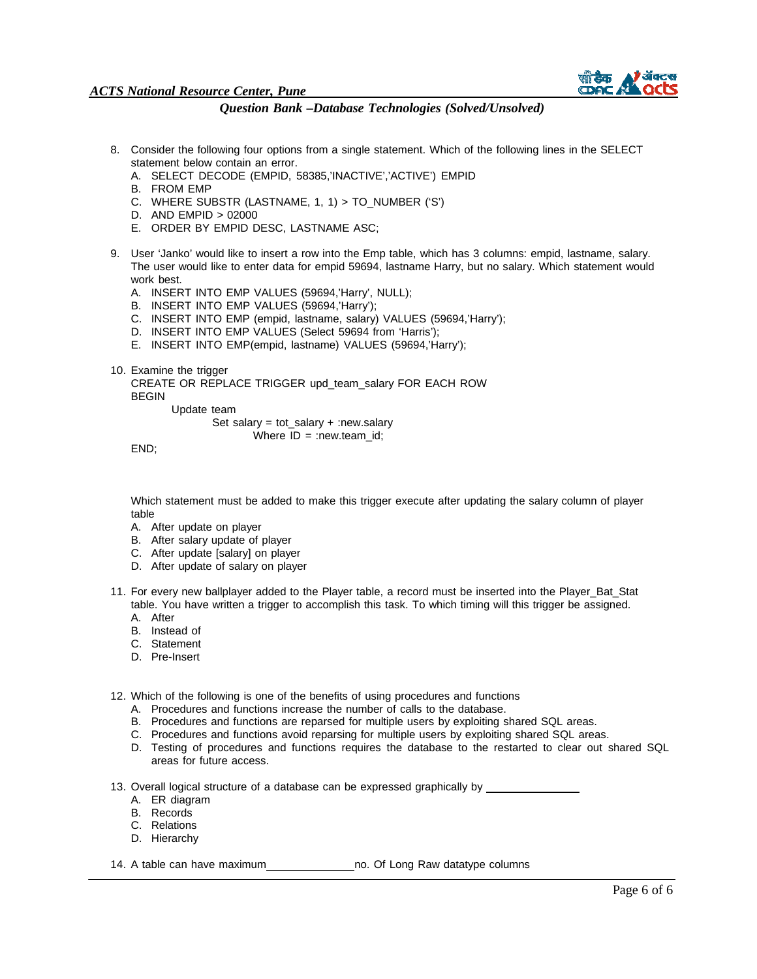

#### *Question Bank –Database Technologies (Solved/Unsolved)*

- 8. Consider the following four options from a single statement. Which of the following lines in the SELECT statement below contain an error.
	- A. SELECT DECODE (EMPID, 58385,'INACTIVE','ACTIVE') EMPID
	- B. FROM EMP
	- C. WHERE SUBSTR (LASTNAME, 1, 1) > TO\_NUMBER ('S')
	- D. AND EMPID > 02000
	- E. ORDER BY EMPID DESC, LASTNAME ASC;
- 9. User 'Janko' would like to insert a row into the Emp table, which has 3 columns: empid, lastname, salary. The user would like to enter data for empid 59694, lastname Harry, but no salary. Which statement would work best.
	- A. INSERT INTO EMP VALUES (59694,'Harry', NULL);
	- B. INSERT INTO EMP VALUES (59694,'Harry');
	- C. INSERT INTO EMP (empid, lastname, salary) VALUES (59694,'Harry');
	- D. INSERT INTO EMP VALUES (Select 59694 from 'Harris');
	- E. INSERT INTO EMP(empid, lastname) VALUES (59694,'Harry');
- 10. Examine the trigger
	- CREATE OR REPLACE TRIGGER upd\_team\_salary FOR EACH ROW BEGIN

Update team

Set salary =  $tot$ \_salary + :new.salary Where  $ID = :newಗ$ .team\_id;

END;

Which statement must be added to make this trigger execute after updating the salary column of player table

- A. After update on player
- B. After salary update of player
- C. After update [salary] on player
- D. After update of salary on player
- 11. For every new ballplayer added to the Player table, a record must be inserted into the Player\_Bat\_Stat table. You have written a trigger to accomplish this task. To which timing will this trigger be assigned.
	- A. After
	- B. Instead of
	- C. Statement
	- D. Pre-Insert

12. Which of the following is one of the benefits of using procedures and functions

- A. Procedures and functions increase the number of calls to the database.
- B. Procedures and functions are reparsed for multiple users by exploiting shared SQL areas.
- C. Procedures and functions avoid reparsing for multiple users by exploiting shared SQL areas.
- D. Testing of procedures and functions requires the database to the restarted to clear out shared SQL areas for future access.

13. Overall logical structure of a database can be expressed graphically by \_\_

- A. ER diagram
- B. Records
- C. Relations
- D. Hierarchy

14. A table can have maximum no. Of Long Raw datatype columns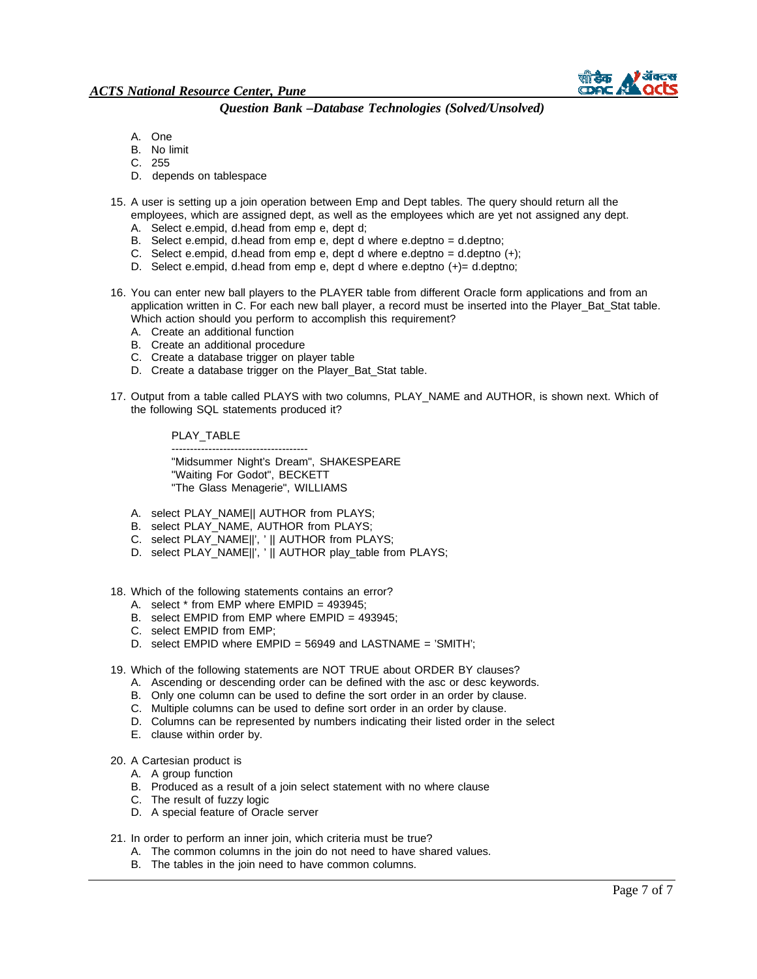

- A. One
- B. No limit
- C. 255
- D. depends on tablespace
- 15. A user is setting up a join operation between Emp and Dept tables. The query should return all the employees, which are assigned dept, as well as the employees which are yet not assigned any dept.
	- A. Select e.empid, d.head from emp e, dept d;
	- B. Select e.empid, d.head from emp e, dept d where e.deptno  $=$  d.deptno;
	- C. Select e.empid, d.head from emp e, dept d where e.deptno = d.deptno  $(+)$ ;
	- D. Select e.empid, d.head from emp e, dept d where e.deptno  $(+)$  = d.deptno;
- 16. You can enter new ball players to the PLAYER table from different Oracle form applications and from an application written in C. For each new ball player, a record must be inserted into the Player\_Bat\_Stat table. Which action should you perform to accomplish this requirement?
	- A. Create an additional function
	- B. Create an additional procedure
	- C. Create a database trigger on player table
	- D. Create a database trigger on the Player\_Bat\_Stat table.
- 17. Output from a table called PLAYS with two columns, PLAY\_NAME and AUTHOR, is shown next. Which of the following SQL statements produced it?

#### PLAY\_TABLE

------------------------------------- "Midsummer Night's Dream", SHAKESPEARE "Waiting For Godot", BECKETT "The Glass Menagerie", WILLIAMS

- A. select PLAY\_NAME|| AUTHOR from PLAYS;
- B. select PLAY\_NAME, AUTHOR from PLAYS;
- C. select PLAY\_NAME||', ' || AUTHOR from PLAYS;
- D. select PLAY\_NAME||', ' || AUTHOR play\_table from PLAYS;
- 18. Which of the following statements contains an error?
	- A. select  $*$  from EMP where EMPID = 493945;
	- B. select EMPID from EMP where EMPID = 493945;
	- C. select EMPID from EMP;
	- D. select EMPID where EMPID = 56949 and LASTNAME = 'SMITH';
- 19. Which of the following statements are NOT TRUE about ORDER BY clauses?
	- A. Ascending or descending order can be defined with the asc or desc keywords.
	- B. Only one column can be used to define the sort order in an order by clause.
	- C. Multiple columns can be used to define sort order in an order by clause.
	- D. Columns can be represented by numbers indicating their listed order in the select
	- E. clause within order by.
- 20. A Cartesian product is
	- A. A group function
	- B. Produced as a result of a join select statement with no where clause
	- C. The result of fuzzy logic
	- D. A special feature of Oracle server
- 21. In order to perform an inner join, which criteria must be true?
	- A. The common columns in the join do not need to have shared values.
		- B. The tables in the join need to have common columns.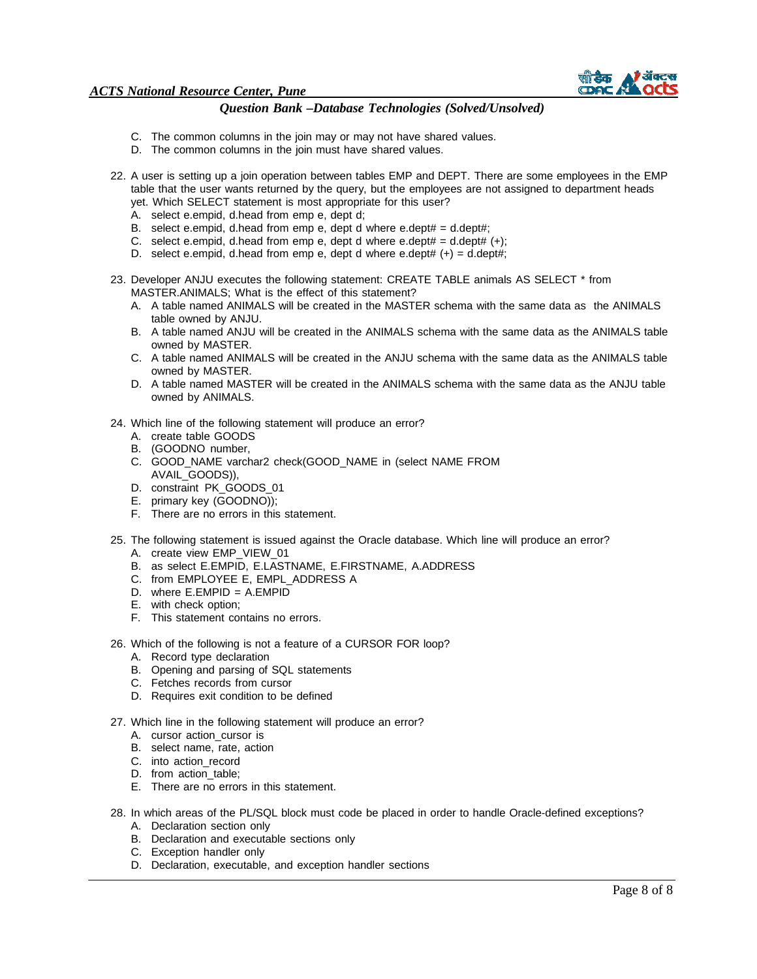

- C. The common columns in the join may or may not have shared values.
- D. The common columns in the join must have shared values.
- 22. A user is setting up a join operation between tables EMP and DEPT. There are some employees in the EMP table that the user wants returned by the query, but the employees are not assigned to department heads yet. Which SELECT statement is most appropriate for this user?
	- A. select e.empid, d.head from emp e, dept d;
	- B. select e.empid, d.head from emp e, dept d where e.dept#  $=$  d.dept#;
	- C. select e.empid, d.head from emp e, dept d where e.dept# =  $d.$ dept#  $(+)$ ;
	- D. select e.empid, d.head from emp e, dept d where e.dept#  $(+) =$  d.dept#;
- 23. Developer ANJU executes the following statement: CREATE TABLE animals AS SELECT \* from MASTER.ANIMALS; What is the effect of this statement?
	- A. A table named ANIMALS will be created in the MASTER schema with the same data as the ANIMALS table owned by ANJU.
	- B. A table named ANJU will be created in the ANIMALS schema with the same data as the ANIMALS table owned by MASTER.
	- C. A table named ANIMALS will be created in the ANJU schema with the same data as the ANIMALS table owned by MASTER.
	- D. A table named MASTER will be created in the ANIMALS schema with the same data as the ANJU table owned by ANIMALS.
- 24. Which line of the following statement will produce an error?
	- A. create table GOODS
	- B. (GOODNO number,
	- C. GOOD\_NAME varchar2 check(GOOD\_NAME in (select NAME FROM AVAIL\_GOODS)),
	- D. constraint PK\_GOODS\_01
	- E. primary key (GOODNO));
	- F. There are no errors in this statement.
- 25. The following statement is issued against the Oracle database. Which line will produce an error?
	- A. create view EMP\_VIEW\_01
	- B. as select E.EMPID, E.LASTNAME, E.FIRSTNAME, A.ADDRESS
	- C. from EMPLOYEE E, EMPL\_ADDRESS A
	- D. where E.EMPID = A.EMPID
	- E. with check option;
	- F. This statement contains no errors.
- 26. Which of the following is not a feature of a CURSOR FOR loop?
	- A. Record type declaration
	- B. Opening and parsing of SQL statements
	- C. Fetches records from cursor
	- D. Requires exit condition to be defined
- 27. Which line in the following statement will produce an error?
	- A. cursor action\_cursor is
	- B. select name, rate, action
	- C. into action\_record
	- D. from action\_table;
	- E. There are no errors in this statement.
- 28. In which areas of the PL/SQL block must code be placed in order to handle Oracle-defined exceptions? A. Declaration section only
	- B. Declaration and executable sections only
	- C. Exception handler only
	- D. Declaration, executable, and exception handler sections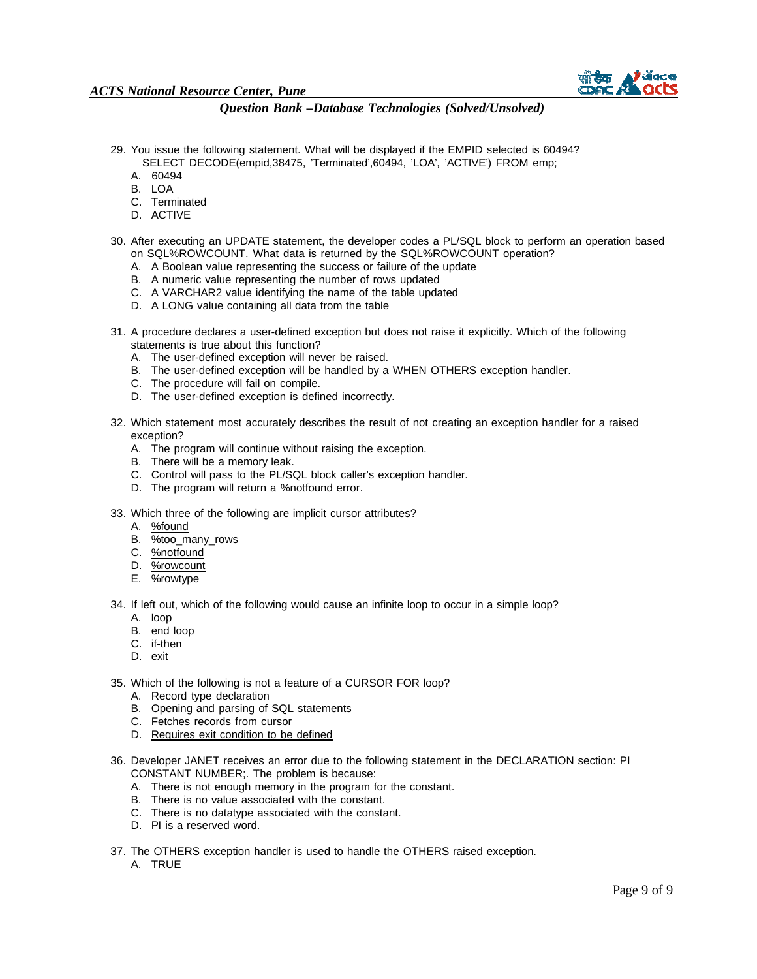

- 29. You issue the following statement. What will be displayed if the EMPID selected is 60494? SELECT DECODE(empid,38475, 'Terminated',60494, 'LOA', 'ACTIVE') FROM emp;
	- A. 60494
	- B. LOA
	- C. Terminated
	- D. ACTIVE
- 30. After executing an UPDATE statement, the developer codes a PL/SQL block to perform an operation based on SQL%ROWCOUNT. What data is returned by the SQL%ROWCOUNT operation?
	- A. A Boolean value representing the success or failure of the update
	- B. A numeric value representing the number of rows updated
	- C. A VARCHAR2 value identifying the name of the table updated
	- D. A LONG value containing all data from the table
- 31. A procedure declares a user-defined exception but does not raise it explicitly. Which of the following statements is true about this function?
	- A. The user-defined exception will never be raised.
	- B. The user-defined exception will be handled by a WHEN OTHERS exception handler.
	- C. The procedure will fail on compile.
	- D. The user-defined exception is defined incorrectly.
- 32. Which statement most accurately describes the result of not creating an exception handler for a raised exception?
	- A. The program will continue without raising the exception.
	- B. There will be a memory leak.
	- C. Control will pass to the PL/SQL block caller's exception handler.
	- D. The program will return a %notfound error.
- 33. Which three of the following are implicit cursor attributes?
	- A. %found
	- B. %too\_many\_rows
	- C. %notfound
	- D. %rowcount
	- E. %rowtype

34. If left out, which of the following would cause an infinite loop to occur in a simple loop?

- A. loop
- B. end loop
- C. if-then
- D. exit
- 35. Which of the following is not a feature of a CURSOR FOR loop?
	- A. Record type declaration
	- B. Opening and parsing of SQL statements
	- C. Fetches records from cursor
	- D. Requires exit condition to be defined
- 36. Developer JANET receives an error due to the following statement in the DECLARATION section: PI CONSTANT NUMBER;. The problem is because:
	- A. There is not enough memory in the program for the constant.
	- B. There is no value associated with the constant.
	- C. There is no datatype associated with the constant.
	- D. PI is a reserved word.
- 37. The OTHERS exception handler is used to handle the OTHERS raised exception.
	- A. TRUE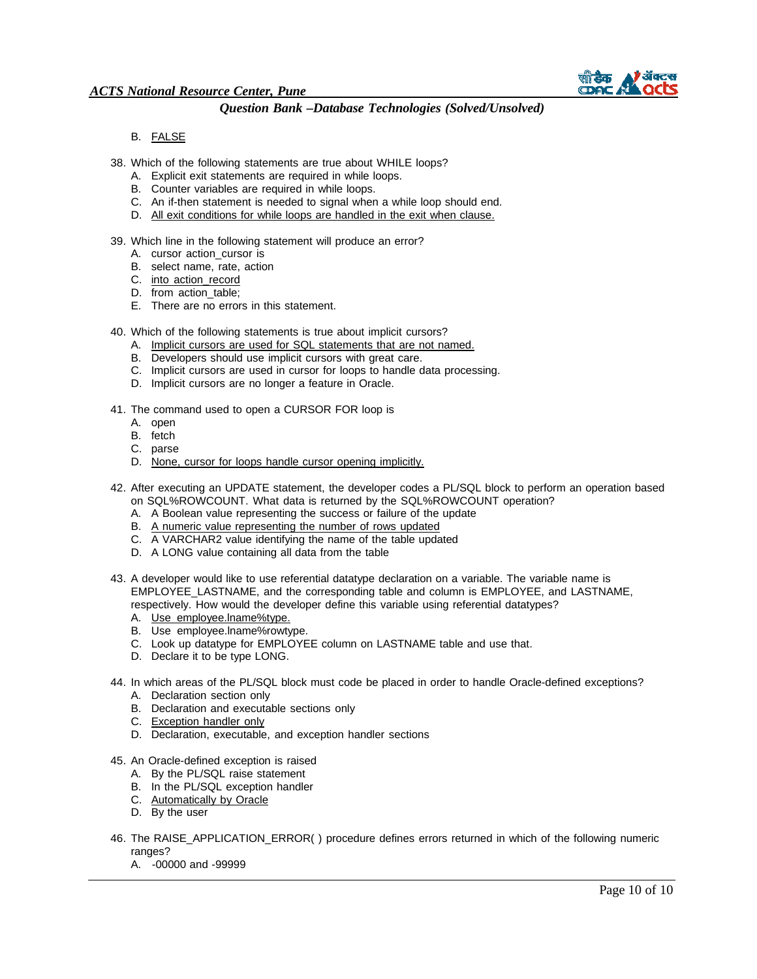

B. FALSE

38. Which of the following statements are true about WHILE loops?

- A. Explicit exit statements are required in while loops.
- B. Counter variables are required in while loops.
- C. An if-then statement is needed to signal when a while loop should end.
- D. All exit conditions for while loops are handled in the exit when clause.
- 39. Which line in the following statement will produce an error?
	- A. cursor action\_cursor is
	- B. select name, rate, action
	- C. into action\_record
	- D. from action\_table;
	- E. There are no errors in this statement.

40. Which of the following statements is true about implicit cursors?

- A. Implicit cursors are used for SQL statements that are not named.
- B. Developers should use implicit cursors with great care.
- C. Implicit cursors are used in cursor for loops to handle data processing.
- D. Implicit cursors are no longer a feature in Oracle.
- 41. The command used to open a CURSOR FOR loop is
	- A. open
	- B. fetch
	- C. parse
	- D. None, cursor for loops handle cursor opening implicitly.
- 42. After executing an UPDATE statement, the developer codes a PL/SQL block to perform an operation based on SQL%ROWCOUNT. What data is returned by the SQL%ROWCOUNT operation?
	- A. A Boolean value representing the success or failure of the update
	- B. A numeric value representing the number of rows updated
	- C. A VARCHAR2 value identifying the name of the table updated
	- D. A LONG value containing all data from the table
- 43. A developer would like to use referential datatype declaration on a variable. The variable name is EMPLOYEE\_LASTNAME, and the corresponding table and column is EMPLOYEE, and LASTNAME, respectively. How would the developer define this variable using referential datatypes?
	- A. Use employee.lname%type.
	- B. Use employee.lname%rowtype.
	- C. Look up datatype for EMPLOYEE column on LASTNAME table and use that.
	- D. Declare it to be type LONG.
- 44. In which areas of the PL/SQL block must code be placed in order to handle Oracle-defined exceptions?
	- A. Declaration section only
	- B. Declaration and executable sections only
	- C. Exception handler only
	- D. Declaration, executable, and exception handler sections
- 45. An Oracle-defined exception is raised
	- A. By the PL/SQL raise statement
	- B. In the PL/SQL exception handler
	- C. Automatically by Oracle
	- D. By the user
- 46. The RAISE\_APPLICATION\_ERROR( ) procedure defines errors returned in which of the following numeric ranges?
	- A. -00000 and -99999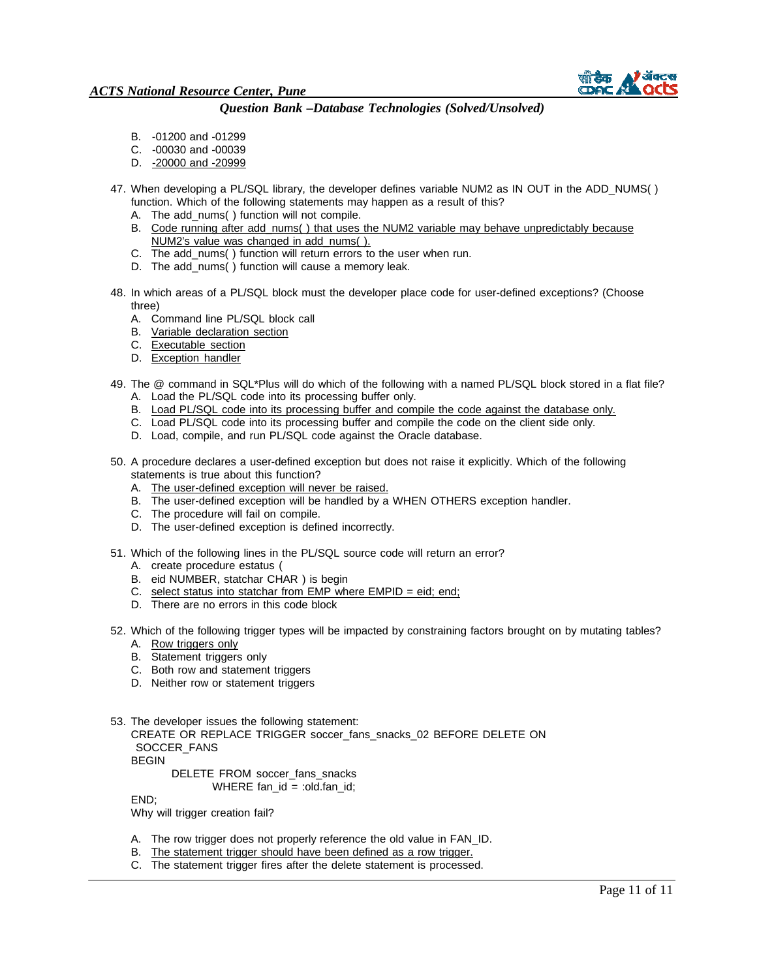

- B. -01200 and -01299
- C. -00030 and -00039
- D. 20000 and -20999
- 47. When developing a PL/SQL library, the developer defines variable NUM2 as IN OUT in the ADD\_NUMS() function. Which of the following statements may happen as a result of this?
	- A. The add\_nums( ) function will not compile.
	- B. Code running after add\_nums( ) that uses the NUM2 variable may behave unpredictably because NUM2's value was changed in add\_nums( ).
	- C. The add\_nums( ) function will return errors to the user when run.
	- D. The add\_nums( ) function will cause a memory leak.
- 48. In which areas of a PL/SQL block must the developer place code for user-defined exceptions? (Choose three)
	- A. Command line PL/SQL block call
	- B. Variable declaration section
	- C. Executable section
	- D. Exception handler
- 49. The @ command in SQL\*Plus will do which of the following with a named PL/SQL block stored in a flat file? A. Load the PL/SQL code into its processing buffer only.
	- B. Load PL/SQL code into its processing buffer and compile the code against the database only.
	- C. Load PL/SQL code into its processing buffer and compile the code on the client side only.
	- D. Load, compile, and run PL/SQL code against the Oracle database.
- 50. A procedure declares a user-defined exception but does not raise it explicitly. Which of the following statements is true about this function?
	- A. The user-defined exception will never be raised.
	- B. The user-defined exception will be handled by a WHEN OTHERS exception handler.
	- C. The procedure will fail on compile.
	- D. The user-defined exception is defined incorrectly.
- 51. Which of the following lines in the PL/SQL source code will return an error?
	- A. create procedure estatus (
	- B. eid NUMBER, statchar CHAR ) is begin
	- C. select status into statchar from EMP where  $EMPID = eid$ ; end;
	- D. There are no errors in this code block
- 52. Which of the following trigger types will be impacted by constraining factors brought on by mutating tables? A. Row triggers only
	- B. Statement triggers only
	- C. Both row and statement triggers
	- D. Neither row or statement triggers
- 53. The developer issues the following statement:

CREATE OR REPLACE TRIGGER soccer\_fans\_snacks\_02 BEFORE DELETE ON SOCCER\_FANS BEGIN

DELETE FROM soccer\_fans\_snacks

WHERE fan\_id = :old.fan\_id;

END;

Why will trigger creation fail?

- A. The row trigger does not properly reference the old value in FAN\_ID.
- B. The statement trigger should have been defined as a row trigger.
- C. The statement trigger fires after the delete statement is processed.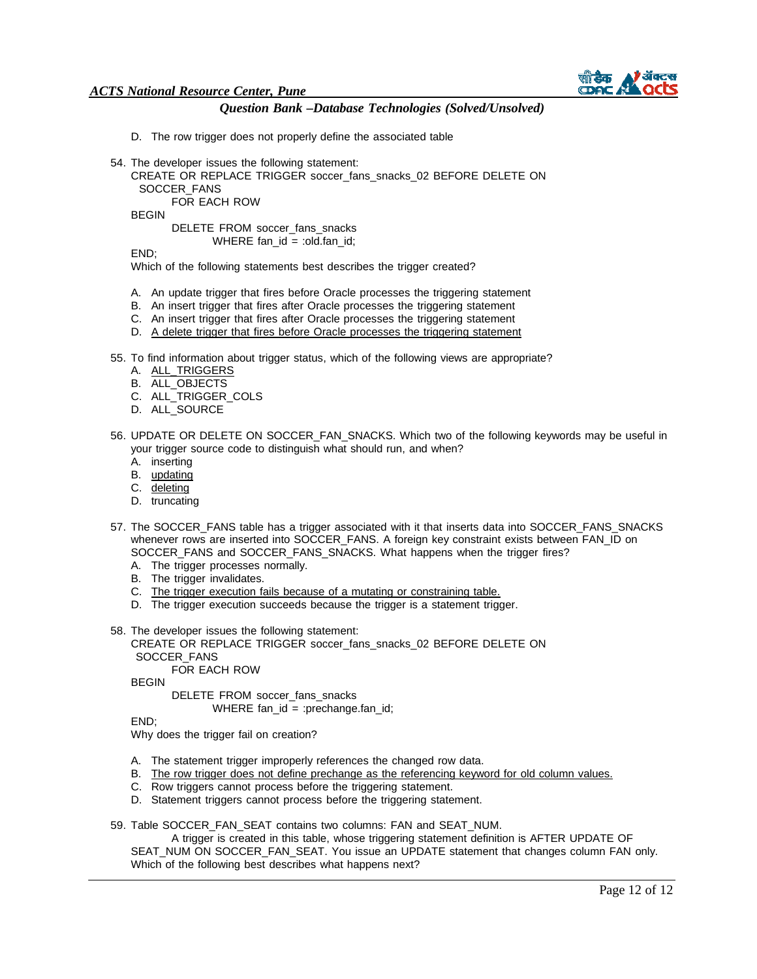

- D. The row trigger does not properly define the associated table
- 54. The developer issues the following statement:
	- CREATE OR REPLACE TRIGGER soccer\_fans\_snacks\_02 BEFORE DELETE ON
		- SOCCER\_FANS

FOR EACH ROW

BEGIN

DELETE FROM soccer\_fans\_snacks WHERE fan\_id = :old.fan\_id;

END;

Which of the following statements best describes the trigger created?

- A. An update trigger that fires before Oracle processes the triggering statement
- B. An insert trigger that fires after Oracle processes the triggering statement
- C. An insert trigger that fires after Oracle processes the triggering statement
- D. A delete trigger that fires before Oracle processes the triggering statement
- 55. To find information about trigger status, which of the following views are appropriate?
	- A. ALL\_TRIGGERS
	- B. ALL\_OBJECTS
	- C. ALL\_TRIGGER\_COLS
	- D. ALL\_SOURCE
- 56. UPDATE OR DELETE ON SOCCER\_FAN\_SNACKS. Which two of the following keywords may be useful in your trigger source code to distinguish what should run, and when?
	- A. inserting
	- B. updating
	- C. deleting
	- D. truncating
- 57. The SOCCER\_FANS table has a trigger associated with it that inserts data into SOCCER\_FANS\_SNACKS whenever rows are inserted into SOCCER\_FANS. A foreign key constraint exists between FAN\_ID on SOCCER\_FANS and SOCCER\_FANS\_SNACKS. What happens when the trigger fires?
	- A. The trigger processes normally.
	- B. The trigger invalidates.
	- C. The trigger execution fails because of a mutating or constraining table.
	- D. The trigger execution succeeds because the trigger is a statement trigger.
- 58. The developer issues the following statement:

CREATE OR REPLACE TRIGGER soccer\_fans\_snacks\_02 BEFORE DELETE ON SOCCER\_FANS

FOR EACH ROW

BEGIN

DELETE FROM soccer\_fans\_snacks WHERE fan\_id = :prechange.fan\_id;

END;

Why does the trigger fail on creation?

- A. The statement trigger improperly references the changed row data.
- B. The row trigger does not define prechange as the referencing keyword for old column values.
- C. Row triggers cannot process before the triggering statement.
- D. Statement triggers cannot process before the triggering statement.
- 59. Table SOCCER\_FAN\_SEAT contains two columns: FAN and SEAT\_NUM.

A trigger is created in this table, whose triggering statement definition is AFTER UPDATE OF SEAT\_NUM ON SOCCER\_FAN\_SEAT. You issue an UPDATE statement that changes column FAN only. Which of the following best describes what happens next?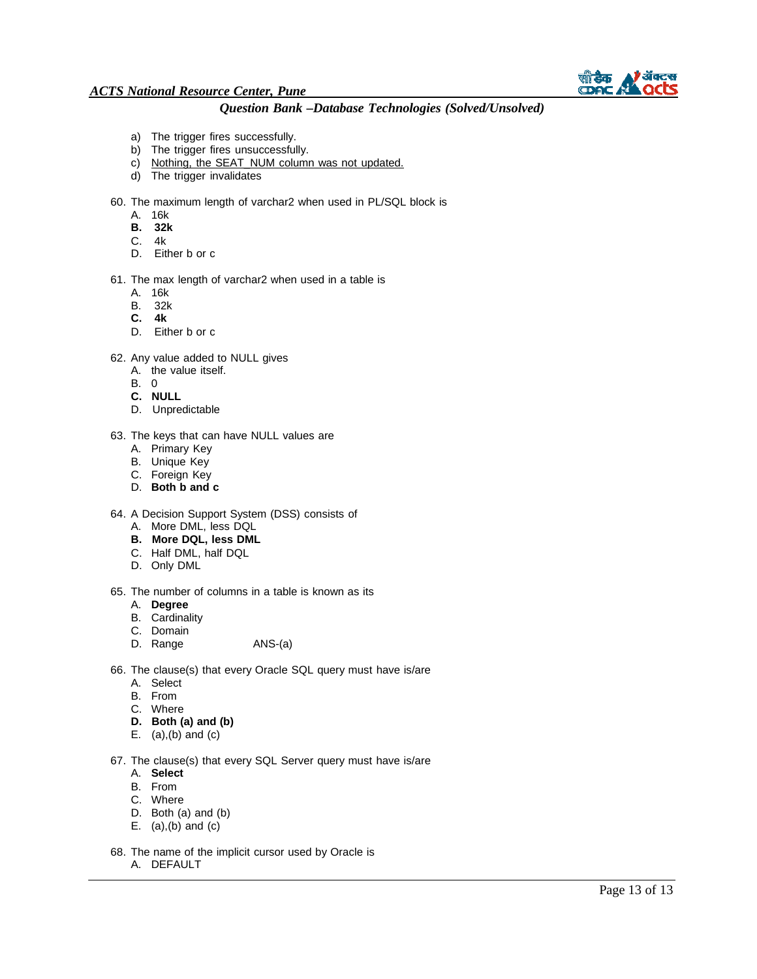

## *Question Bank –Database Technologies (Solved/Unsolved)*

- a) The trigger fires successfully.
- b) The trigger fires unsuccessfully.
- c) Nothing, the SEAT\_NUM column was not updated.
- d) The trigger invalidates

60. The maximum length of varchar2 when used in PL/SQL block is

- A. 16k
- **B. 32k**
- C. 4k
- D. Either b or c
- 61. The max length of varchar2 when used in a table is
	- A. 16k
	- B. 32k
	- **C. 4k**
	- D. Either b or c
- 62. Any value added to NULL gives
	- A. the value itself.
	- B. 0
	- **C. NULL**
	- D. Unpredictable
- 63. The keys that can have NULL values are
	- A. Primary Key
	- B. Unique Key
	- C. Foreign Key
	- D. **Both b and c**
- 64. A Decision Support System (DSS) consists of
	- A. More DML, less DQL
	- **B. More DQL, less DML**
	- C. Half DML, half DQL
	- D. Only DML
- 65. The number of columns in a table is known as its
	- A. **Degree**
	- B. Cardinality
	- C. Domain
	- D. Range ANS-(a)
- 66. The clause(s) that every Oracle SQL query must have is/are
	- A. Select
	- B. From
	- C. Where
	- **D. Both (a) and (b)**
	- E.  $(a)$ , $(b)$  and  $(c)$

67. The clause(s) that every SQL Server query must have is/are

- A. **Select**
- B. From
- C. Where
- D. Both (a) and (b)
- E.  $(a)$ , $(b)$  and  $(c)$
- 68. The name of the implicit cursor used by Oracle is
	- A. DEFAULT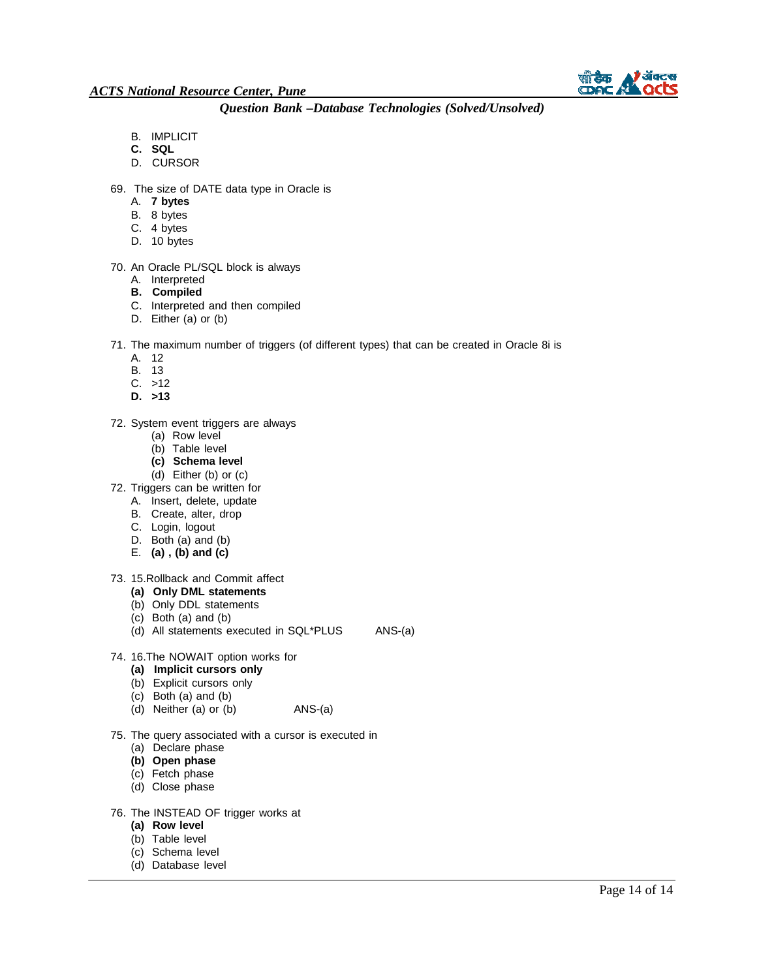

- B. IMPLICIT
- **C. SQL**
- D. CURSOR
- 69. The size of DATE data type in Oracle is
	- A. **7 bytes**
	- B. 8 bytes
	- C. 4 bytes
	- D. 10 bytes

#### 70. An Oracle PL/SQL block is always

- A. Interpreted
- **B. Compiled**
- C. Interpreted and then compiled
- D. Either (a) or (b)

#### 71. The maximum number of triggers (of different types) that can be created in Oracle 8i is

- A. 12
- B. 13
- C. >12
- **D. >13**

#### 72. System event triggers are always

- (a) Row level
- (b) Table level
- **(c) Schema level**
- (d) Either (b) or (c)
- 72. Triggers can be written for
	- A. Insert, delete, update
	- B. Create, alter, drop
	- C. Login, logout
	- D. Both (a) and (b)
	- E. **(a) , (b) and (c)**

#### 73. 15.Rollback and Commit affect

- **(a) Only DML statements**
- (b) Only DDL statements
- (c) Both (a) and (b)
- (d) All statements executed in SQL\*PLUS ANS-(a)
- 74. 16.The NOWAIT option works for
	- **(a) Implicit cursors only**
	- (b) Explicit cursors only
	- (c) Both (a) and (b)
	- (d) Neither (a) or (b) ANS-(a)
- 75. The query associated with a cursor is executed in
	- (a) Declare phase
	- **(b) Open phase**
	- (c) Fetch phase
	- (d) Close phase
- 76. The INSTEAD OF trigger works at
	- **(a) Row level**
	- (b) Table level
	- (c) Schema level
	- (d) Database level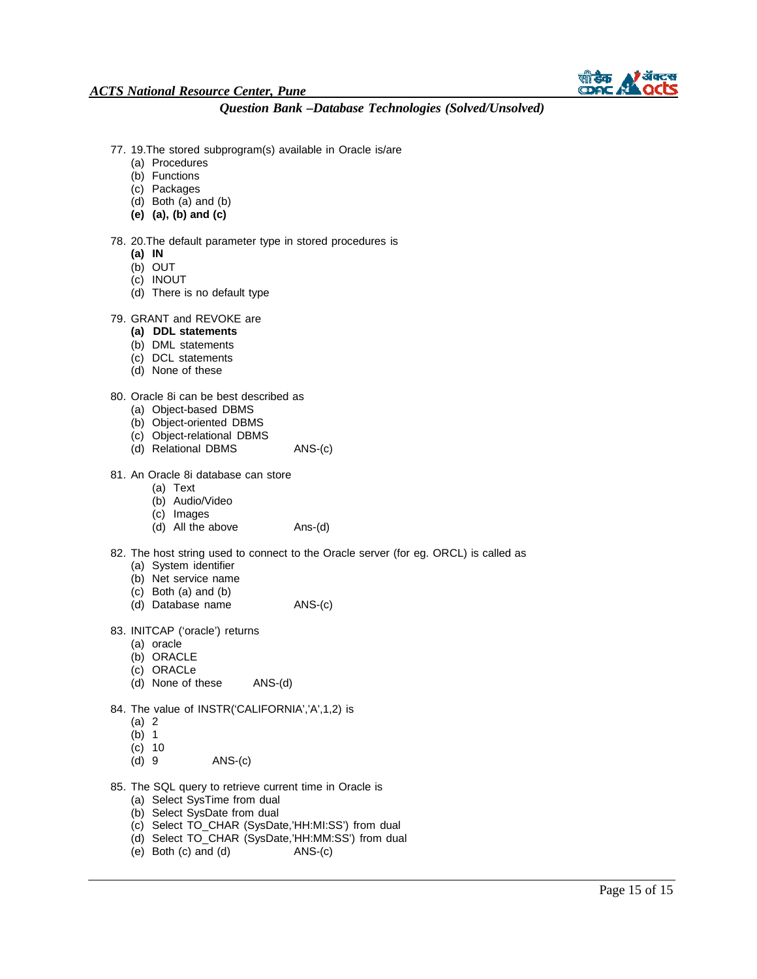

- 77. 19.The stored subprogram(s) available in Oracle is/are
	- (a) Procedures
	- (b) Functions
	- (c) Packages
	- (d) Both (a) and (b)
	- **(e) (a), (b) and (c)**

#### 78. 20.The default parameter type in stored procedures is

- **(a) IN**
- (b) OUT
- (c) INOUT
- (d) There is no default type

#### 79. GRANT and REVOKE are

- **(a) DDL statements**
- (b) DML statements
- (c) DCL statements
- (d) None of these

#### 80. Oracle 8i can be best described as

- (a) Object-based DBMS
- (b) Object-oriented DBMS
- (c) Object-relational DBMS
- (d) Relational DBMS ANS-(c)
- 81. An Oracle 8i database can store
	- (a) Text
	- (b) Audio/Video
	- (c) Images
	- (d) All the above Ans-(d)
- 82. The host string used to connect to the Oracle server (for eg. ORCL) is called as (a) System identifier
	- (b) Net service name
	- (c) Both (a) and (b)
	- (d) Database name ANS-(c)
	-
- 83. INITCAP ('oracle') returns
	- (a) oracle
	- (b) ORACLE
	- (c) ORACLe
	- (d) None of these ANS-(d)
- 84. The value of INSTR('CALIFORNIA','A',1,2) is
	- (a) 2
	- $(b)$  1
	- (c) 10
	- $ANS-(c)$
- 85. The SQL query to retrieve current time in Oracle is
	- (a) Select SysTime from dual
	- (b) Select SysDate from dual
	- (c) Select TO\_CHAR (SysDate,'HH:MI:SS') from dual
	- (d) Select TO\_CHAR (SysDate,'HH:MM:SS') from dual
	- (e) Both (c) and (d) ANS-(c)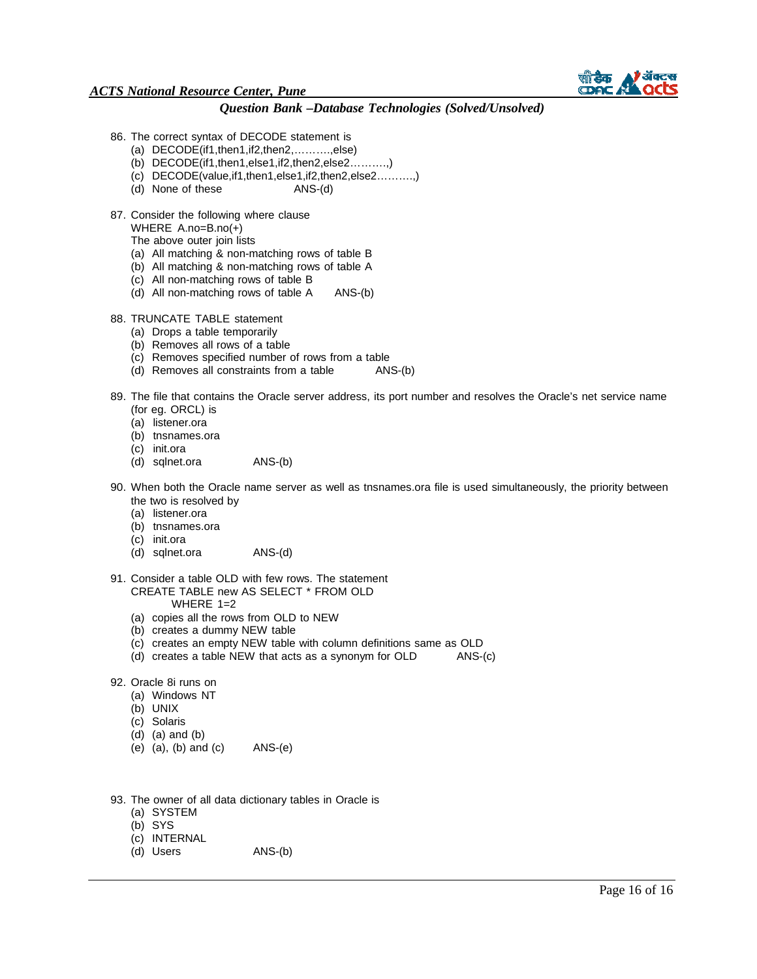

### *Question Bank –Database Technologies (Solved/Unsolved)*

- 86. The correct syntax of DECODE statement is
	- (a) DECODE(if1,then1,if2,then2,……….,else)
	- (b) DECODE(if1,then1,else1,if2,then2,else2……….,)
	- (c) DECODE(value,if1,then1,else1,if2,then2,else2……….,)
	- (d) None of these ANS-(d)
- 87. Consider the following where clause WHERE A.no=B.no(+)

The above outer join lists

- 
- (a) All matching & non-matching rows of table B
- (b) All matching & non-matching rows of table A
- (c) All non-matching rows of table B
- (d) All non-matching rows of table A ANS-(b)
- 88. TRUNCATE TABLE statement
	- (a) Drops a table temporarily
	- (b) Removes all rows of a table
	- (c) Removes specified number of rows from a table
	- (d) Removes all constraints from a table ANS-(b)
- 89. The file that contains the Oracle server address, its port number and resolves the Oracle's net service name (for eg. ORCL) is
	- (a) listener.ora
	- (b) tnsnames.ora
	- (c) init.ora
	- (d) sqlnet.ora ANS-(b)
- 90. When both the Oracle name server as well as tnsnames.ora file is used simultaneously, the priority between the two is resolved by
	- (a) listener.ora
	- (b) tnsnames.ora
	- (c) init.ora
	- (d) sqlnet.ora ANS-(d)
- 91. Consider a table OLD with few rows. The statement CREATE TABLE new AS SELECT \* FROM OLD
	- WHERE 1=2
	- (a) copies all the rows from OLD to NEW
	- (b) creates a dummy NEW table
	- (c) creates an empty NEW table with column definitions same as OLD
	- (d) creates a table NEW that acts as a synonym for OLD ANS-(c)
- 92. Oracle 8i runs on
	- (a) Windows NT
	- (b) UNIX
	- (c) Solaris
	- (d) (a) and (b)
	- (e) (a), (b) and (c) ANS-(e)
- 93. The owner of all data dictionary tables in Oracle is
	- (a) SYSTEM
	- (b) SYS
	- (c) INTERNAL
	- (d) Users ANS-(b)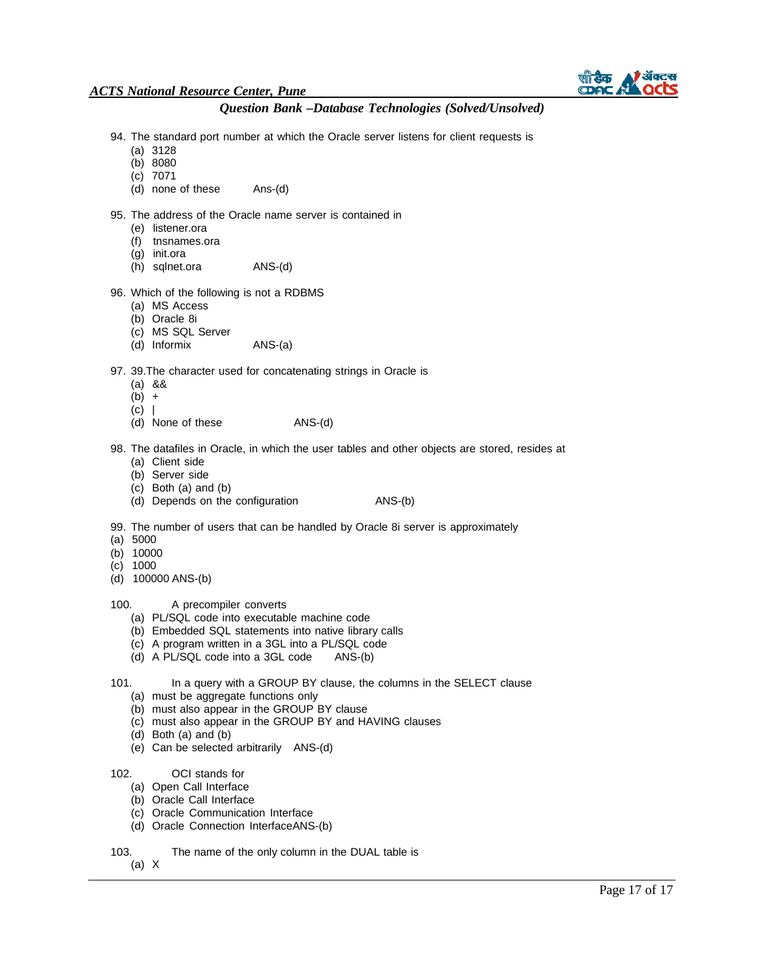

# *Question Bank –Database Technologies (Solved/Unsolved)*

- 94. The standard port number at which the Oracle server listens for client requests is
	- (a) 3128
	- (b) 8080
	- (c) 7071
	- Ans-(d) (d) none of these
- 95. The address of the Oracle name server is contained in
	- (e) listener.ora
	- (f) tnsnames.ora
	- (g) init.ora
	- (h) sqlnet.ora ANS-(d)

#### 96. Which of the following is not a RDBMS

- (a) MS Access
- (b) Oracle 8i
- (c) MS SQL Server
- (d) Informix ANS-(a)

#### 97. 39.The character used for concatenating strings in Oracle is

- (a) &&
- $(b) +$
- $(c)$  |
- (d) None of these ANS-(d)
- 98. The datafiles in Oracle, in which the user tables and other objects are stored, resides at (a) Client side
	- (b) Server side
	- (c) Both (a) and (b)
	- (d) Depends on the configuration ANS-(b)
- 99. The number of users that can be handled by Oracle 8i server is approximately
- (a) 5000
- (b) 10000
- (c) 1000
- (d) 100000 ANS-(b)
- 100. A precompiler converts
	- (a) PL/SQL code into executable machine code
	- (b) Embedded SQL statements into native library calls
	- (c) A program written in a 3GL into a PL/SQL code
	- (d) A PL/SQL code into a 3GL code ANS-(b)
- 101. In a query with a GROUP BY clause, the columns in the SELECT clause
	- (a) must be aggregate functions only
	- (b) must also appear in the GROUP BY clause
	- (c) must also appear in the GROUP BY and HAVING clauses
	- (d) Both (a) and (b)
	- (e) Can be selected arbitrarily ANS-(d)
- 102. OCI stands for
	- (a) Open Call Interface
	- (b) Oracle Call Interface
	- (c) Oracle Communication Interface
	- (d) Oracle Connection InterfaceANS-(b)
- 103. The name of the only column in the DUAL table is
	- (a) X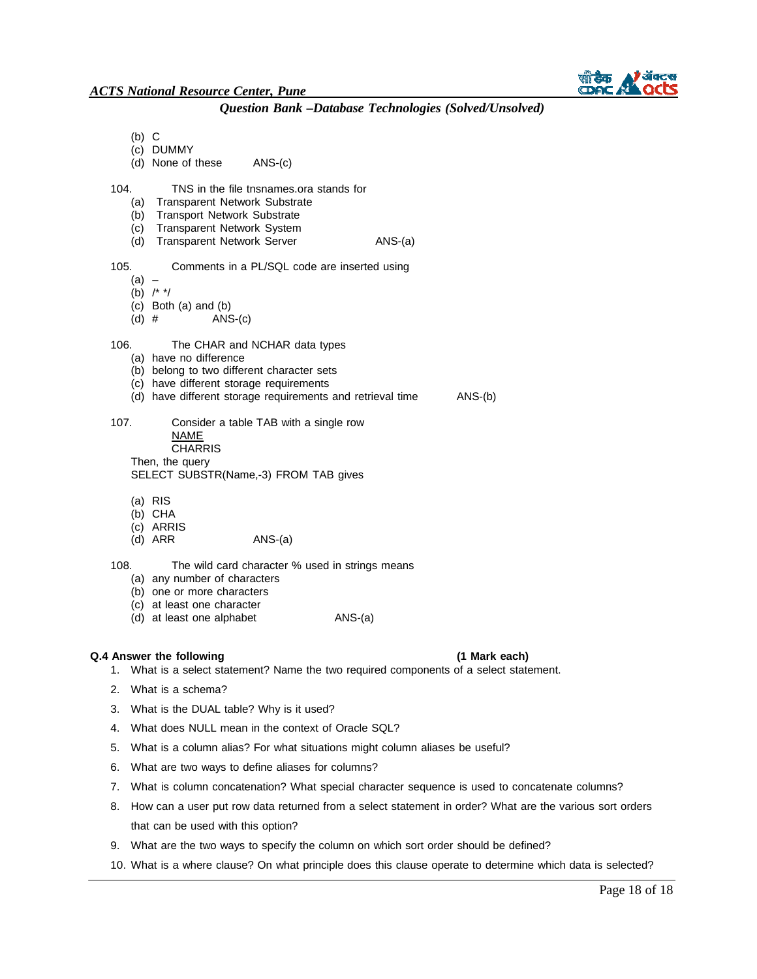- (b) C
- (c) DUMMY
- (d) None of these ANS-(c)
- 104. TNS in the file tnsnames.ora stands for
	- (a) Transparent Network Substrate
	- (b) Transport Network Substrate
	- (c) Transparent Network System
	- (d) Transparent Network Server ANS-(a)
- 105. Comments in a PL/SQL code are inserted using
	- $(a) -$
	- (b) /\* \*/
	- (c) Both (a) and (b)
	- (d)  $#$  ANS-(c)
- 106. The CHAR and NCHAR data types
	- (a) have no difference
	- (b) belong to two different character sets
	- (c) have different storage requirements
	- (d) have different storage requirements and retrieval time ANS-(b)
- 
- 107. Consider a table TAB with a single row NAME CHARRIS Then, the query
	- SELECT SUBSTR(Name,-3) FROM TAB gives
	- (a) RIS
	- (b) CHA
	- (c) ARRIS
	- $(d)$  ARR  $ANS-(a)$
- 108. The wild card character % used in strings means (a) any number of characters
	- (b) one or more characters
	- (c) at least one character
	-
	- (d) at least one alphabet ANS-(a)

#### **Q.4 Answer the following (1 Mark each)**

- 1. What is a select statement? Name the two required components of a select statement.
- 2. What is a schema?
- 3. What is the DUAL table? Why is it used?
- 4. What does NULL mean in the context of Oracle SQL?
- 5. What is a column alias? For what situations might column aliases be useful?
- 6. What are two ways to define aliases for columns?
- 7. What is column concatenation? What special character sequence is used to concatenate columns?
- 8. How can a user put row data returned from a select statement in order? What are the various sort orders that can be used with this option?
- 9. What are the two ways to specify the column on which sort order should be defined?
- 10. What is a where clause? On what principle does this clause operate to determine which data is selected?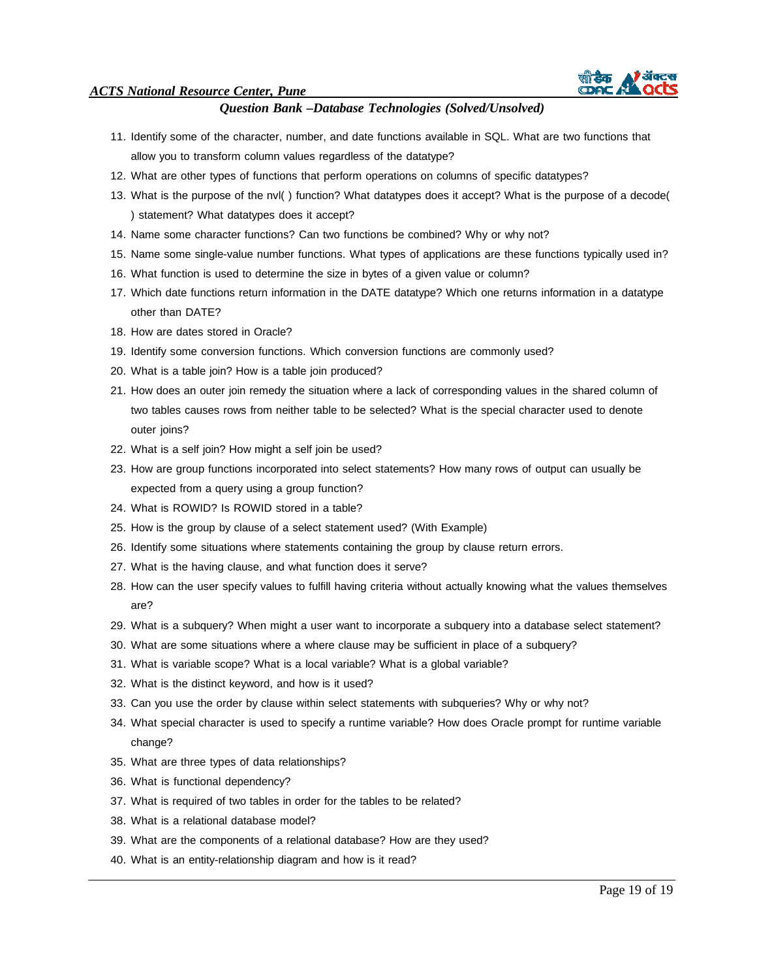

- 11. Identify some of the character, number, and date functions available in SQL. What are two functions that allow you to transform column values regardless of the datatype?
- 12. What are other types of functions that perform operations on columns of specific datatypes?
- 13. What is the purpose of the nvl( ) function? What datatypes does it accept? What is the purpose of a decode( ) statement? What datatypes does it accept?
- 14. Name some character functions? Can two functions be combined? Why or why not?
- 15. Name some single-value number functions. What types of applications are these functions typically used in?
- 16. What function is used to determine the size in bytes of a given value or column?
- 17. Which date functions return information in the DATE datatype? Which one returns information in a datatype other than DATE?
- 18. How are dates stored in Oracle?
- 19. Identify some conversion functions. Which conversion functions are commonly used?
- 20. What is a table join? How is a table join produced?
- 21. How does an outer join remedy the situation where a lack of corresponding values in the shared column of two tables causes rows from neither table to be selected? What is the special character used to denote outer joins?
- 22. What is a self join? How might a self join be used?
- 23. How are group functions incorporated into select statements? How many rows of output can usually be expected from a query using a group function?
- 24. What is ROWID? Is ROWID stored in a table?
- 25. How is the group by clause of a select statement used? (With Example)
- 26. Identify some situations where statements containing the group by clause return errors.
- 27. What is the having clause, and what function does it serve?
- 28. How can the user specify values to fulfill having criteria without actually knowing what the values themselves are?
- 29. What is a subquery? When might a user want to incorporate a subquery into a database select statement?
- 30. What are some situations where a where clause may be sufficient in place of a subquery?
- 31. What is variable scope? What is a local variable? What is a global variable?
- 32. What is the distinct keyword, and how is it used?
- 33. Can you use the order by clause within select statements with subqueries? Why or why not?
- 34. What special character is used to specify a runtime variable? How does Oracle prompt for runtime variable change?
- 35. What are three types of data relationships?
- 36. What is functional dependency?
- 37. What is required of two tables in order for the tables to be related?
- 38. What is a relational database model?
- 39. What are the components of a relational database? How are they used?
- 40. What is an entity-relationship diagram and how is it read?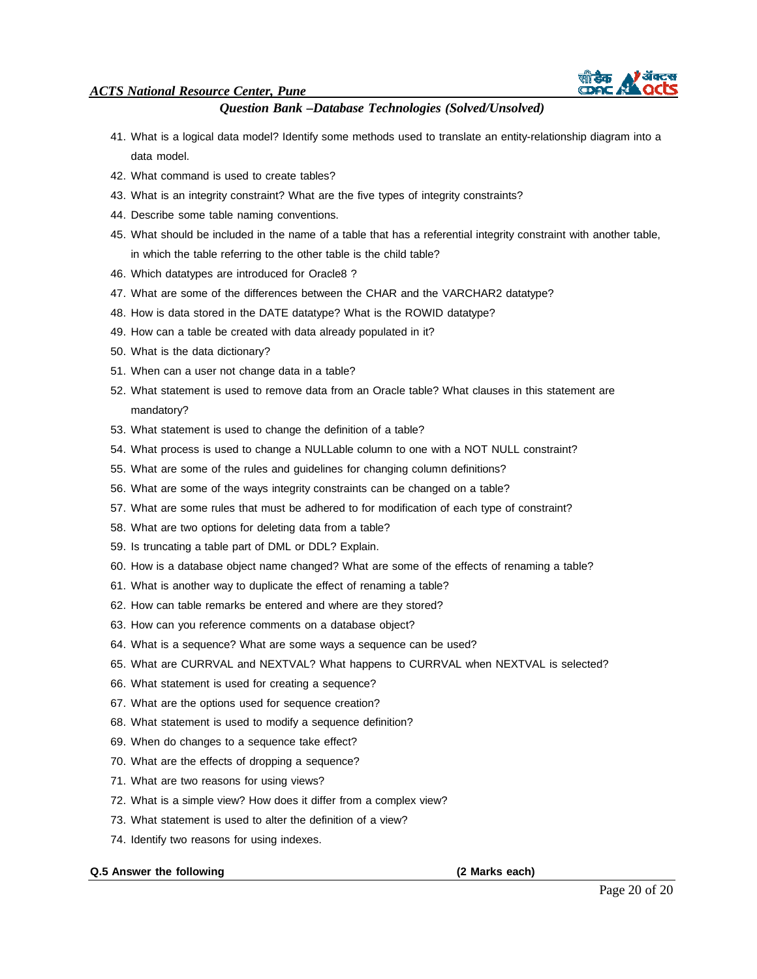

# *Question Bank –Database Technologies (Solved/Unsolved)*

- 41. What is a logical data model? Identify some methods used to translate an entity-relationship diagram into a data model.
- 42. What command is used to create tables?
- 43. What is an integrity constraint? What are the five types of integrity constraints?
- 44. Describe some table naming conventions.
- 45. What should be included in the name of a table that has a referential integrity constraint with another table, in which the table referring to the other table is the child table?
- 46. Which datatypes are introduced for Oracle8 ?
- 47. What are some of the differences between the CHAR and the VARCHAR2 datatype?
- 48. How is data stored in the DATE datatype? What is the ROWID datatype?
- 49. How can a table be created with data already populated in it?
- 50. What is the data dictionary?
- 51. When can a user not change data in a table?
- 52. What statement is used to remove data from an Oracle table? What clauses in this statement are mandatory?
- 53. What statement is used to change the definition of a table?
- 54. What process is used to change a NULLable column to one with a NOT NULL constraint?
- 55. What are some of the rules and guidelines for changing column definitions?
- 56. What are some of the ways integrity constraints can be changed on a table?
- 57. What are some rules that must be adhered to for modification of each type of constraint?
- 58. What are two options for deleting data from a table?
- 59. Is truncating a table part of DML or DDL? Explain.
- 60. How is a database object name changed? What are some of the effects of renaming a table?
- 61. What is another way to duplicate the effect of renaming a table?
- 62. How can table remarks be entered and where are they stored?
- 63. How can you reference comments on a database object?
- 64. What is a sequence? What are some ways a sequence can be used?
- 65. What are CURRVAL and NEXTVAL? What happens to CURRVAL when NEXTVAL is selected?
- 66. What statement is used for creating a sequence?
- 67. What are the options used for sequence creation?
- 68. What statement is used to modify a sequence definition?
- 69. When do changes to a sequence take effect?
- 70. What are the effects of dropping a sequence?
- 71. What are two reasons for using views?
- 72. What is a simple view? How does it differ from a complex view?
- 73. What statement is used to alter the definition of a view?
- 74. Identify two reasons for using indexes.

#### **Q.5 Answer the following (2 Marks each)**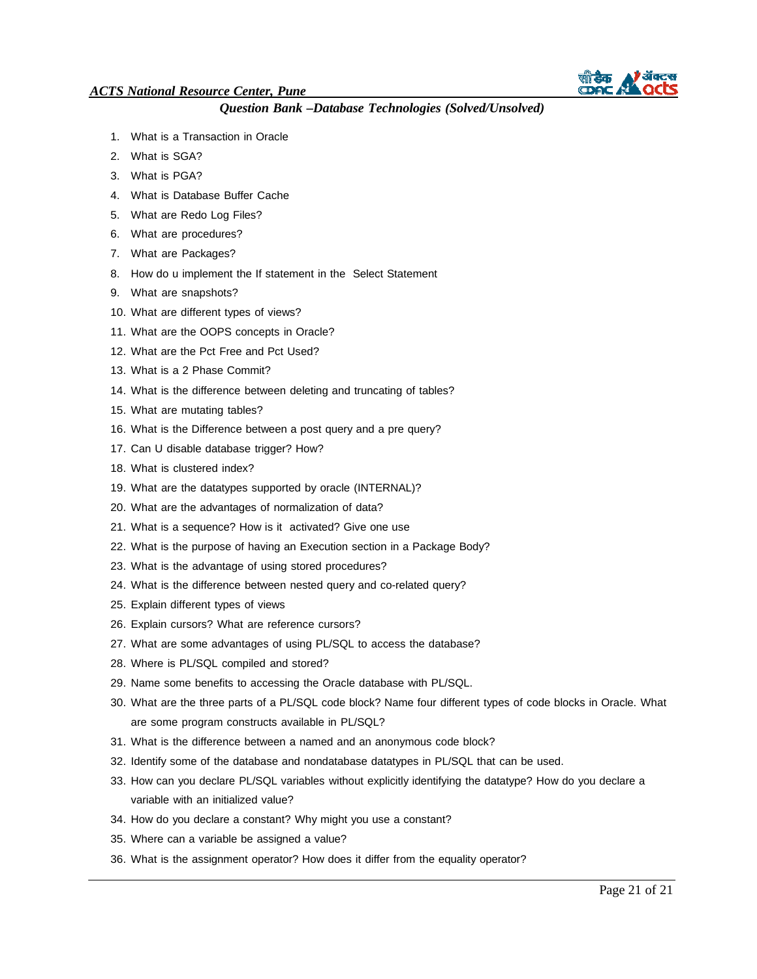

- 1. What is a Transaction in Oracle
- 2. What is SGA?
- 3. What is PGA?
- 4. What is Database Buffer Cache
- 5. What are Redo Log Files?
- 6. What are procedures?
- 7. What are Packages?
- 8. How do u implement the If statement in the Select Statement
- 9. What are snapshots?
- 10. What are different types of views?
- 11. What are the OOPS concepts in Oracle?
- 12. What are the Pct Free and Pct Used?
- 13. What is a 2 Phase Commit?
- 14. What is the difference between deleting and truncating of tables?
- 15. What are mutating tables?
- 16. What is the Difference between a post query and a pre query?
- 17. Can U disable database trigger? How?
- 18. What is clustered index?
- 19. What are the datatypes supported by oracle (INTERNAL)?
- 20. What are the advantages of normalization of data?
- 21. What is a sequence? How is it activated? Give one use
- 22. What is the purpose of having an Execution section in a Package Body?
- 23. What is the advantage of using stored procedures?
- 24. What is the difference between nested query and co-related query?
- 25. Explain different types of views
- 26. Explain cursors? What are reference cursors?
- 27. What are some advantages of using PL/SQL to access the database?
- 28. Where is PL/SQL compiled and stored?
- 29. Name some benefits to accessing the Oracle database with PL/SQL.
- 30. What are the three parts of a PL/SQL code block? Name four different types of code blocks in Oracle. What are some program constructs available in PL/SQL?
- 31. What is the difference between a named and an anonymous code block?
- 32. Identify some of the database and nondatabase datatypes in PL/SQL that can be used.
- 33. How can you declare PL/SQL variables without explicitly identifying the datatype? How do you declare a variable with an initialized value?
- 34. How do you declare a constant? Why might you use a constant?
- 35. Where can a variable be assigned a value?
- 36. What is the assignment operator? How does it differ from the equality operator?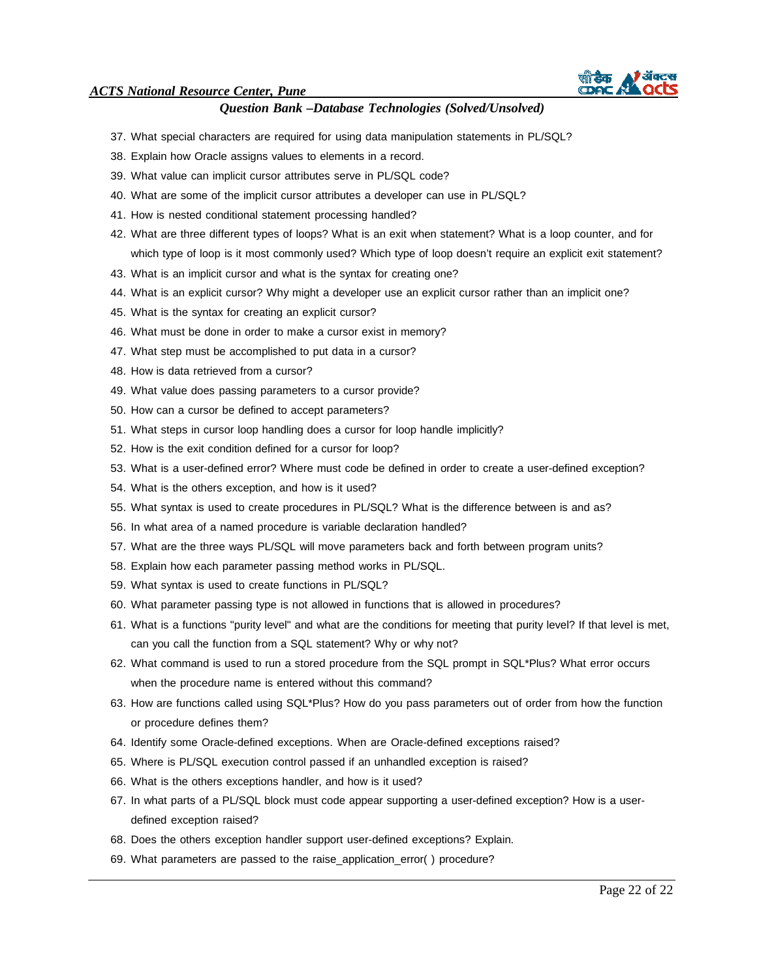

- 37. What special characters are required for using data manipulation statements in PL/SQL?
- 38. Explain how Oracle assigns values to elements in a record.
- 39. What value can implicit cursor attributes serve in PL/SQL code?
- 40. What are some of the implicit cursor attributes a developer can use in PL/SQL?
- 41. How is nested conditional statement processing handled?
- 42. What are three different types of loops? What is an exit when statement? What is a loop counter, and for which type of loop is it most commonly used? Which type of loop doesn't require an explicit exit statement?
- 43. What is an implicit cursor and what is the syntax for creating one?
- 44. What is an explicit cursor? Why might a developer use an explicit cursor rather than an implicit one?
- 45. What is the syntax for creating an explicit cursor?
- 46. What must be done in order to make a cursor exist in memory?
- 47. What step must be accomplished to put data in a cursor?
- 48. How is data retrieved from a cursor?
- 49. What value does passing parameters to a cursor provide?
- 50. How can a cursor be defined to accept parameters?
- 51. What steps in cursor loop handling does a cursor for loop handle implicitly?
- 52. How is the exit condition defined for a cursor for loop?
- 53. What is a user-defined error? Where must code be defined in order to create a user-defined exception?
- 54. What is the others exception, and how is it used?
- 55. What syntax is used to create procedures in PL/SQL? What is the difference between is and as?
- 56. In what area of a named procedure is variable declaration handled?
- 57. What are the three ways PL/SQL will move parameters back and forth between program units?
- 58. Explain how each parameter passing method works in PL/SQL.
- 59. What syntax is used to create functions in PL/SQL?
- 60. What parameter passing type is not allowed in functions that is allowed in procedures?
- 61. What is a functions "purity level" and what are the conditions for meeting that purity level? If that level is met, can you call the function from a SQL statement? Why or why not?
- 62. What command is used to run a stored procedure from the SQL prompt in SQL\*Plus? What error occurs when the procedure name is entered without this command?
- 63. How are functions called using SQL\*Plus? How do you pass parameters out of order from how the function or procedure defines them?
- 64. Identify some Oracle-defined exceptions. When are Oracle-defined exceptions raised?
- 65. Where is PL/SQL execution control passed if an unhandled exception is raised?
- 66. What is the others exceptions handler, and how is it used?
- 67. In what parts of a PL/SQL block must code appear supporting a user-defined exception? How is a userdefined exception raised?
- 68. Does the others exception handler support user-defined exceptions? Explain.
- 69. What parameters are passed to the raise application error( ) procedure?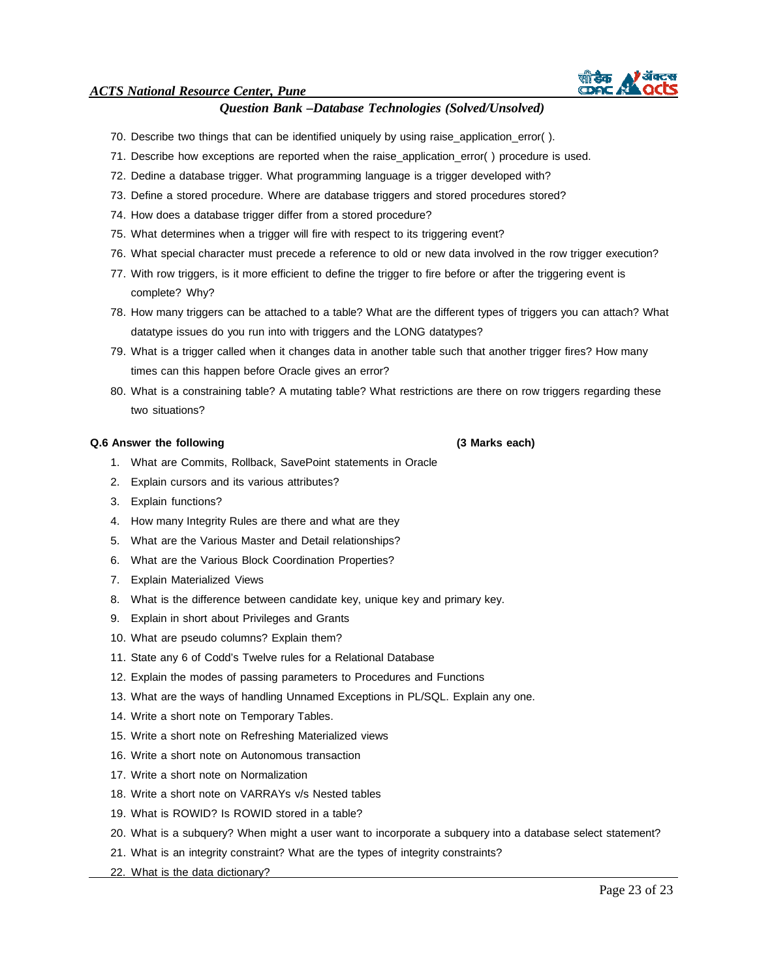### *Question Bank –Database Technologies (Solved/Unsolved)*

- 70. Describe two things that can be identified uniquely by using raise\_application\_error( ).
- 71. Describe how exceptions are reported when the raise\_application\_error( ) procedure is used.
- 72. Dedine a database trigger. What programming language is a trigger developed with?
- 73. Define a stored procedure. Where are database triggers and stored procedures stored?
- 74. How does a database trigger differ from a stored procedure?
- 75. What determines when a trigger will fire with respect to its triggering event?
- 76. What special character must precede a reference to old or new data involved in the row trigger execution?
- 77. With row triggers, is it more efficient to define the trigger to fire before or after the triggering event is complete? Why?
- 78. How many triggers can be attached to a table? What are the different types of triggers you can attach? What datatype issues do you run into with triggers and the LONG datatypes?
- 79. What is a trigger called when it changes data in another table such that another trigger fires? How many times can this happen before Oracle gives an error?
- 80. What is a constraining table? A mutating table? What restrictions are there on row triggers regarding these two situations?

#### **Q.6 Answer the following (3 Marks each)**

- 1. What are Commits, Rollback, SavePoint statements in Oracle
- 2. Explain cursors and its various attributes?
- 3. Explain functions?
- 4. How many Integrity Rules are there and what are they
- 5. What are the Various Master and Detail relationships?
- 6. What are the Various Block Coordination Properties?
- 7. Explain Materialized Views
- 8. What is the difference between candidate key, unique key and primary key.
- 9. Explain in short about Privileges and Grants
- 10. What are pseudo columns? Explain them?
- 11. State any 6 of Codd's Twelve rules for a Relational Database
- 12. Explain the modes of passing parameters to Procedures and Functions
- 13. What are the ways of handling Unnamed Exceptions in PL/SQL. Explain any one.
- 14. Write a short note on Temporary Tables.
- 15. Write a short note on Refreshing Materialized views
- 16. Write a short note on Autonomous transaction
- 17. Write a short note on Normalization
- 18. Write a short note on VARRAYs v/s Nested tables
- 19. What is ROWID? Is ROWID stored in a table?
- 20. What is a subquery? When might a user want to incorporate a subquery into a database select statement?
- 21. What is an integrity constraint? What are the types of integrity constraints?
- 22. What is the data dictionary?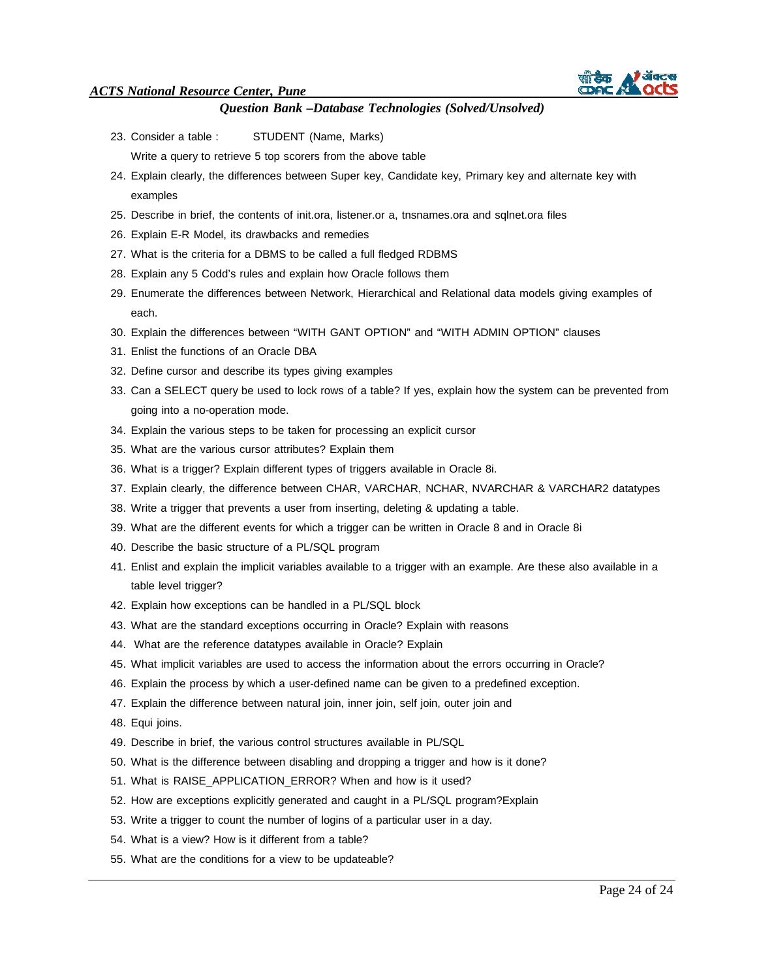

- 23. Consider a table : STUDENT (Name, Marks)
	- Write a query to retrieve 5 top scorers from the above table
- 24. Explain clearly, the differences between Super key, Candidate key, Primary key and alternate key with examples
- 25. Describe in brief, the contents of init.ora, listener.or a, tnsnames.ora and sqlnet.ora files
- 26. Explain E-R Model, its drawbacks and remedies
- 27. What is the criteria for a DBMS to be called a full fledged RDBMS
- 28. Explain any 5 Codd's rules and explain how Oracle follows them
- 29. Enumerate the differences between Network, Hierarchical and Relational data models giving examples of each.
- 30. Explain the differences between "WITH GANT OPTION" and "WITH ADMIN OPTION" clauses
- 31. Enlist the functions of an Oracle DBA
- 32. Define cursor and describe its types giving examples
- 33. Can a SELECT query be used to lock rows of a table? If yes, explain how the system can be prevented from going into a no-operation mode.
- 34. Explain the various steps to be taken for processing an explicit cursor
- 35. What are the various cursor attributes? Explain them
- 36. What is a trigger? Explain different types of triggers available in Oracle 8i.
- 37. Explain clearly, the difference between CHAR, VARCHAR, NCHAR, NVARCHAR & VARCHAR2 datatypes
- 38. Write a trigger that prevents a user from inserting, deleting & updating a table.
- 39. What are the different events for which a trigger can be written in Oracle 8 and in Oracle 8i
- 40. Describe the basic structure of a PL/SQL program
- 41. Enlist and explain the implicit variables available to a trigger with an example. Are these also available in a table level trigger?
- 42. Explain how exceptions can be handled in a PL/SQL block
- 43. What are the standard exceptions occurring in Oracle? Explain with reasons
- 44. What are the reference datatypes available in Oracle? Explain
- 45. What implicit variables are used to access the information about the errors occurring in Oracle?
- 46. Explain the process by which a user-defined name can be given to a predefined exception.
- 47. Explain the difference between natural join, inner join, self join, outer join and
- 48. Equi joins.
- 49. Describe in brief, the various control structures available in PL/SQL
- 50. What is the difference between disabling and dropping a trigger and how is it done?
- 51. What is RAISE\_APPLICATION\_ERROR? When and how is it used?
- 52. How are exceptions explicitly generated and caught in a PL/SQL program?Explain
- 53. Write a trigger to count the number of logins of a particular user in a day.
- 54. What is a view? How is it different from a table?
- 55. What are the conditions for a view to be updateable?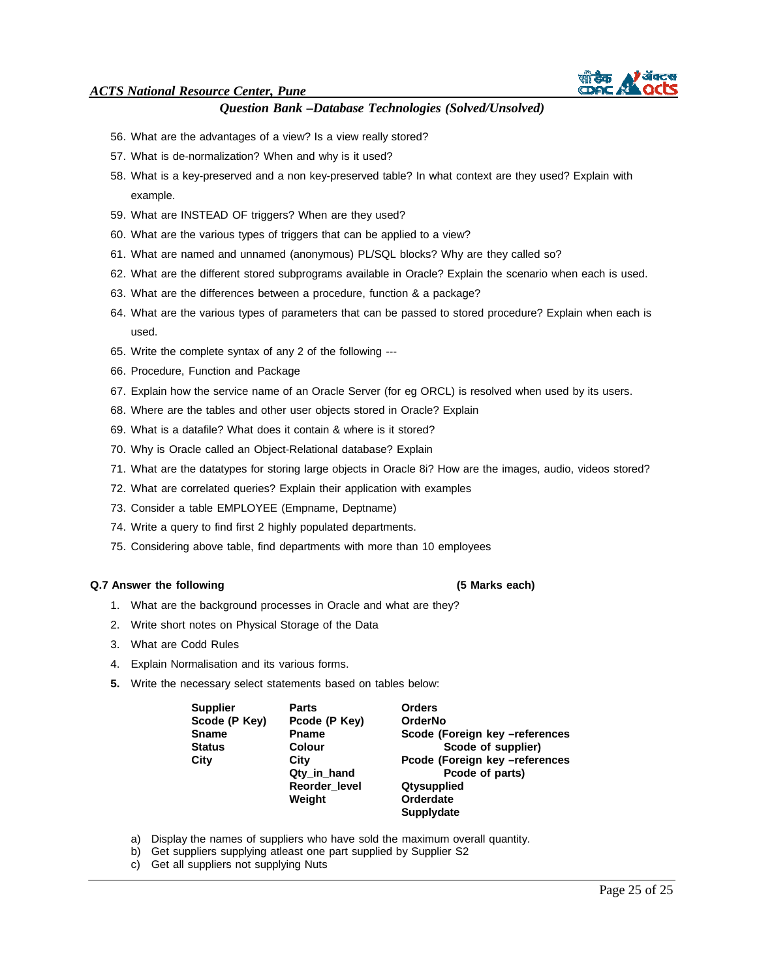

- 56. What are the advantages of a view? Is a view really stored?
- 57. What is de-normalization? When and why is it used?
- 58. What is a key-preserved and a non key-preserved table? In what context are they used? Explain with example.
- 59. What are INSTEAD OF triggers? When are they used?
- 60. What are the various types of triggers that can be applied to a view?
- 61. What are named and unnamed (anonymous) PL/SQL blocks? Why are they called so?
- 62. What are the different stored subprograms available in Oracle? Explain the scenario when each is used.
- 63. What are the differences between a procedure, function & a package?
- 64. What are the various types of parameters that can be passed to stored procedure? Explain when each is used.
- 65. Write the complete syntax of any 2 of the following ---
- 66. Procedure, Function and Package
- 67. Explain how the service name of an Oracle Server (for eg ORCL) is resolved when used by its users.
- 68. Where are the tables and other user objects stored in Oracle? Explain
- 69. What is a datafile? What does it contain & where is it stored?
- 70. Why is Oracle called an Object-Relational database? Explain
- 71. What are the datatypes for storing large objects in Oracle 8i? How are the images, audio, videos stored?
- 72. What are correlated queries? Explain their application with examples
- 73. Consider a table EMPLOYEE (Empname, Deptname)
- 74. Write a query to find first 2 highly populated departments.
- 75. Considering above table, find departments with more than 10 employees

#### **Q.7 Answer the following (5 Marks each)**

- 1. What are the background processes in Oracle and what are they?
- 2. Write short notes on Physical Storage of the Data
- 3. What are Codd Rules
- 4. Explain Normalisation and its various forms.
- **5.** Write the necessary select statements based on tables below:

| <b>Supplier</b> | <b>Parts</b>  | <b>Orders</b>                  |
|-----------------|---------------|--------------------------------|
| Scode (P Key)   | Pcode (P Key) | <b>OrderNo</b>                 |
| <b>Sname</b>    | <b>Pname</b>  | Scode (Foreign key -references |
| <b>Status</b>   | <b>Colour</b> | Scode of supplier)             |
| City            | City          | Pcode (Foreign key -references |
|                 | Qty in hand   | Pcode of parts)                |
|                 | Reorder level | <b>Qtysupplied</b>             |
|                 | Weight        | Orderdate                      |
|                 |               | <b>Supplydate</b>              |

- a) Display the names of suppliers who have sold the maximum overall quantity.
- b) Get suppliers supplying atleast one part supplied by Supplier S2
- c) Get all suppliers not supplying Nuts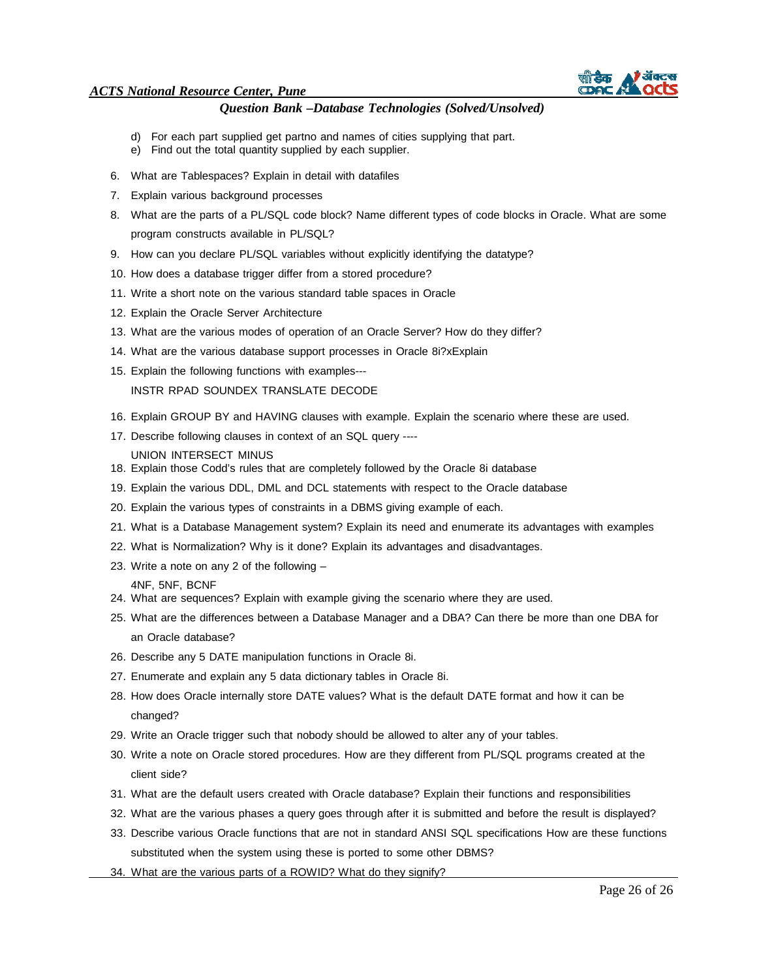

# *Question Bank –Database Technologies (Solved/Unsolved)*

- d) For each part supplied get partno and names of cities supplying that part.
- e) Find out the total quantity supplied by each supplier.
- 6. What are Tablespaces? Explain in detail with datafiles
- 7. Explain various background processes
- 8. What are the parts of a PL/SQL code block? Name different types of code blocks in Oracle. What are some program constructs available in PL/SQL?
- 9. How can you declare PL/SQL variables without explicitly identifying the datatype?
- 10. How does a database trigger differ from a stored procedure?
- 11. Write a short note on the various standard table spaces in Oracle
- 12. Explain the Oracle Server Architecture
- 13. What are the various modes of operation of an Oracle Server? How do they differ?
- 14. What are the various database support processes in Oracle 8i?xExplain
- 15. Explain the following functions with examples---

INSTR RPAD SOUNDEX TRANSLATE DECODE

- 16. Explain GROUP BY and HAVING clauses with example. Explain the scenario where these are used.
- 17. Describe following clauses in context of an SQL query ----
	- UNION INTERSECT MINUS
- 18. Explain those Codd's rules that are completely followed by the Oracle 8i database
- 19. Explain the various DDL, DML and DCL statements with respect to the Oracle database
- 20. Explain the various types of constraints in a DBMS giving example of each.
- 21. What is a Database Management system? Explain its need and enumerate its advantages with examples
- 22. What is Normalization? Why is it done? Explain its advantages and disadvantages.
- 23. Write a note on any 2 of the following –
- 4NF, 5NF, BCNF
- 24. What are sequences? Explain with example giving the scenario where they are used.
- 25. What are the differences between a Database Manager and a DBA? Can there be more than one DBA for an Oracle database?
- 26. Describe any 5 DATE manipulation functions in Oracle 8i.
- 27. Enumerate and explain any 5 data dictionary tables in Oracle 8i.
- 28. How does Oracle internally store DATE values? What is the default DATE format and how it can be changed?
- 29. Write an Oracle trigger such that nobody should be allowed to alter any of your tables.
- 30. Write a note on Oracle stored procedures. How are they different from PL/SQL programs created at the client side?
- 31. What are the default users created with Oracle database? Explain their functions and responsibilities
- 32. What are the various phases a query goes through after it is submitted and before the result is displayed?
- 33. Describe various Oracle functions that are not in standard ANSI SQL specifications How are these functions substituted when the system using these is ported to some other DBMS?
- 34. What are the various parts of a ROWID? What do they signify?